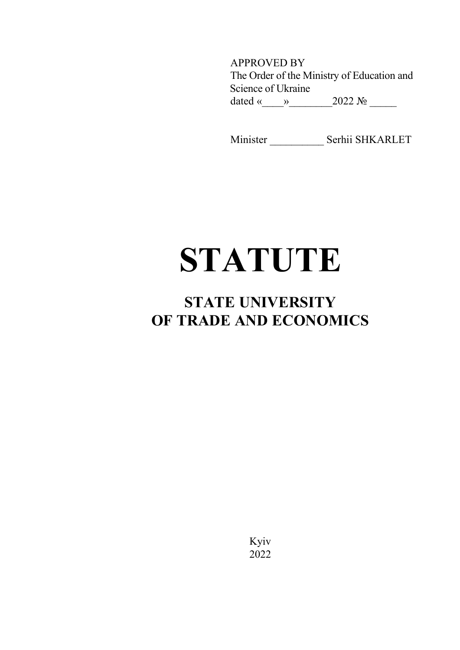APPROVED BY The Order of the Ministry of Education and Science of Ukraine dated «\_\_\_\_»\_\_\_\_\_\_\_\_2022 № \_\_\_\_\_

Minister \_\_\_\_\_\_\_\_\_\_ Serhii SHKARLET

# **STATUTE**

# **STATE UNIVERSITY OF TRADE AND ECONOMICS**

Kyiv 2022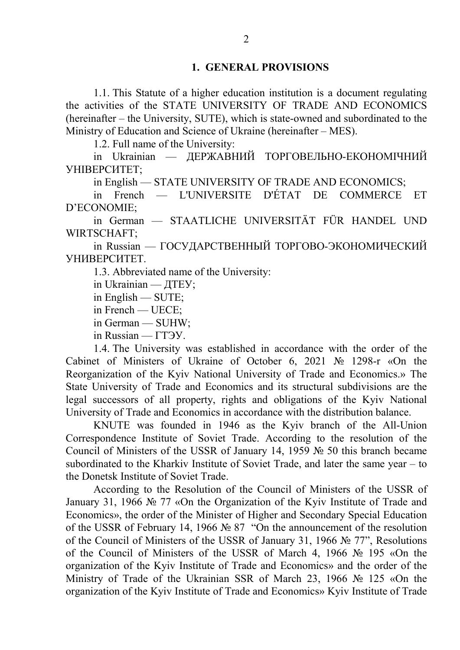1.1. This Statute of a higher education institution is a document regulating the activities of the STATE UNIVERSITY OF TRADE AND ECONOMICS (hereinafter – the University, SUTE), which is state-owned and subordinated to the Ministry of Education and Science of Ukraine (hereinafter – MES).

1.2. Full name of the University:

in Ukrainian — ДЕРЖАВНИЙ ТОРГОВЕЛЬНО-ЕКОНОМІЧНИЙ УНІВЕРСИТЕТ;

in English — STATE UNIVERSITY OF TRADE AND ECONOMICS;

in French — L'UNIVERSITE D'ÉTAT DE COMMERCE ET D'ECONOMIE;

in German — STAATLICHE UNIVERSITÄT FÜR HANDEL UND WIRTSCHAFT;

in Russian — ГОСУДАРСТВЕННЫЙ ТОРГОВО-ЭКОНОМИЧЕСКИЙ УНИВЕРСИТЕТ.

1.3. Abbreviated name of the University:

in Ukrainian — ДТЕУ;

in English — SUTE;

in French — UEСЕ;

in German — SUHW;

in Russian — ГТЭУ.

1.4. The University was established in accordance with the order of the Cabinet of Ministers of Ukraine of October 6, 2021 № 1298-r «On the Reorganization of the Kyiv National University of Trade and Economics.» The State University of Trade and Economics and its structural subdivisions are the legal successors of all property, rights and obligations of the Kyiv National University of Trade and Economics in accordance with the distribution balance.

KNUTE was founded in 1946 as the Kyiv branch of the All-Union Correspondence Institute of Soviet Trade. According to the resolution of the Council of Ministers of the USSR of January 14, 1959 № 50 this branch became subordinated to the Kharkiv Institute of Soviet Trade, and later the same year – to the Donetsk Institute of Soviet Trade.

According to the Resolution of the Council of Ministers of the USSR of January 31, 1966 № 77 «On the Organization of the Kyiv Institute of Trade and Economics», the order of the Minister of Higher and Secondary Special Education of the USSR of February 14, 1966 № 87 "On the announcement of the resolution of the Council of Ministers of the USSR of January 31, 1966 № 77", Resolutions of the Council of Ministers of the USSR of March 4, 1966 № 195 «On the organization of the Kyiv Institute of Trade and Economics» and the order of the Ministry of Trade of the Ukrainian SSR of March 23, 1966 № 125 «On the organization of the Kyiv Institute of Trade and Economics» Kyiv Institute of Trade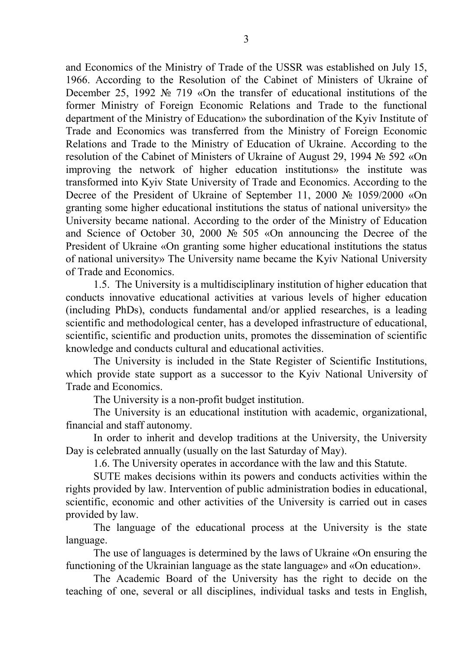and Economics of the Ministry of Trade of the USSR was established on July 15, 1966. According to the Resolution of the Cabinet of Ministers of Ukraine of December 25, 1992 № 719 «On the transfer of educational institutions of the former Ministry of Foreign Economic Relations and Trade to the functional department of the Ministry of Education» the subordination of the Kyiv Institute of Trade and Economics was transferred from the Ministry of Foreign Economic Relations and Trade to the Ministry of Education of Ukraine. According to the resolution of the Cabinet of Ministers of Ukraine of August 29, 1994 № 592 «On improving the network of higher education institutions» the institute was transformed into Kyiv State University of Trade and Economics. According to the Decree of the President of Ukraine of September 11, 2000 № 1059/2000 «On granting some higher educational institutions the status of national university» the University became national. According to the order of the Ministry of Education and Science of October 30, 2000 № 505 «On announcing the Decree of the President of Ukraine «On granting some higher educational institutions the status of national university» The University name became the Kyiv National University of Trade and Economics.

1.5. The University is a multidisciplinary institution of higher education that conducts innovative educational activities at various levels of higher education (including PhDs), conducts fundamental and/or applied researches, is a leading scientific and methodological center, has a developed infrastructure of educational, scientific, scientific and production units, promotes the dissemination of scientific knowledge and conducts cultural and educational activities.

The University is included in the State Register of Scientific Institutions, which provide state support as a successor to the Kyiv National University of Trade and Economics.

The University is a non-profit budget institution.

The University is an educational institution with academic, organizational, financial and staff autonomy.

In order to inherit and develop traditions at the University, the University Day is celebrated annually (usually on the last Saturday of May).

1.6. The University operates in accordance with the law and this Statute.

SUTE makes decisions within its powers and conducts activities within the rights provided by law. Intervention of public administration bodies in educational, scientific, economic and other activities of the University is carried out in cases provided by law.

The language of the educational process at the University is the state language.

The use of languages is determined by the laws of Ukraine «On ensuring the functioning of the Ukrainian language as the state language» and «On education».

The Academic Board of the University has the right to decide on the teaching of one, several or all disciplines, individual tasks and tests in English,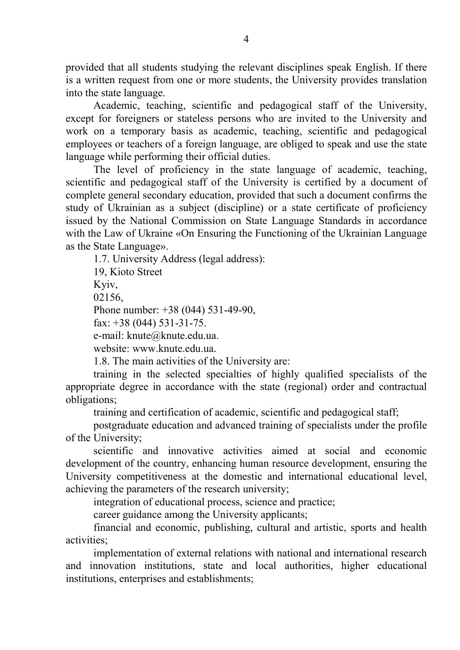provided that all students studying the relevant disciplines speak English. If there is a written request from one or more students, the University provides translation into the state language.

Academic, teaching, scientific and pedagogical staff of the University, except for foreigners or stateless persons who are invited to the University and work on a temporary basis as academic, teaching, scientific and pedagogical employees or teachers of a foreign language, are obliged to speak and use the state language while performing their official duties.

The level of proficiency in the state language of academic, teaching, scientific and pedagogical staff of the University is certified by a document of complete general secondary education, provided that such a document confirms the study of Ukrainian as a subject (discipline) or a state certificate of proficiency issued by the National Commission on State Language Standards in accordance with the Law of Ukraine «On Ensuring the Functioning of the Ukrainian Language as the State Language».

1.7. University Address (legal address): 19, Kioto Street Kyiv, 02156, Phone number: +38 (044) 531-49-90, fax:  $+38$  (044) 531-31-75. e-mail: knute@knute.edu.ua. website: www.knute.edu.ua.

1.8. The main activities of the University are: training in the selected specialties of highly qualified specialists of the

appropriate degree in accordance with the state (regional) order and contractual obligations;

training and certification of academic, scientific and pedagogical staff;

postgraduate education and advanced training of specialists under the profile of the University;

scientific and innovative activities aimed at social and economic development of the country, enhancing human resource development, ensuring the University competitiveness at the domestic and international educational level, achieving the parameters of the research university;

integration of educational process, science and practice;

career guidance among the University applicants;

financial and economic, publishing, cultural and artistic, sports and health activities;

implementation of external relations with national and international research and innovation institutions, state and local authorities, higher educational institutions, enterprises and establishments;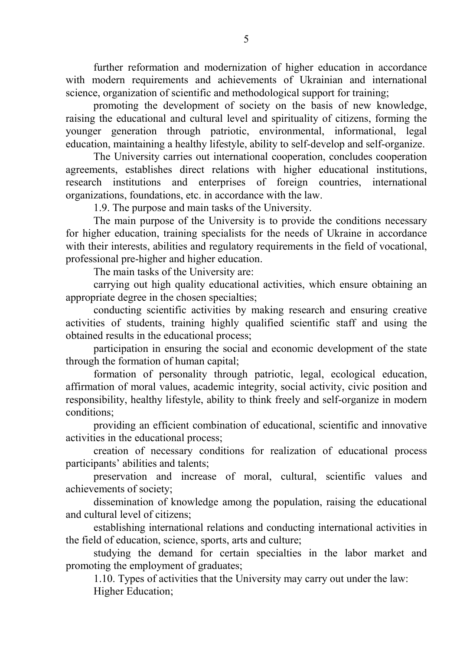further reformation and modernization of higher education in accordance with modern requirements and achievements of Ukrainian and international science, organization of scientific and methodological support for training;

promoting the development of society on the basis of new knowledge, raising the educational and cultural level and spirituality of citizens, forming the younger generation through patriotic, environmental, informational, legal education, maintaining a healthy lifestyle, ability to self-develop and self-organize.

The University carries out international cooperation, concludes cooperation agreements, establishes direct relations with higher educational institutions, research institutions and enterprises of foreign countries, international organizations, foundations, etc. in accordance with the law.

1.9. The purpose and main tasks of the University.

The main purpose of the University is to provide the conditions necessary for higher education, training specialists for the needs of Ukraine in accordance with their interests, abilities and regulatory requirements in the field of vocational, professional pre-higher and higher education.

The main tasks of the University are:

carrying out high quality educational activities, which ensure obtaining an appropriate degree in the chosen specialties;

conducting scientific activities by making research and ensuring creative activities of students, training highly qualified scientific staff and using the obtained results in the educational process;

participation in ensuring the social and economic development of the state through the formation of human capital;

formation of personality through patriotic, legal, ecological education, affirmation of moral values, academic integrity, social activity, civic position and responsibility, healthy lifestyle, ability to think freely and self-organize in modern conditions;

providing an efficient combination of educational, scientific and innovative activities in the educational process;

creation of necessary conditions for realization of educational process participants' abilities and talents;

preservation and increase of moral, cultural, scientific values and achievements of society;

dissemination of knowledge among the population, raising the educational and cultural level of citizens;

establishing international relations and conducting international activities in the field of education, science, sports, arts and culture;

studying the demand for certain specialties in the labor market and promoting the employment of graduates;

1.10. Types of activities that the University may carry out under the law: Higher Education;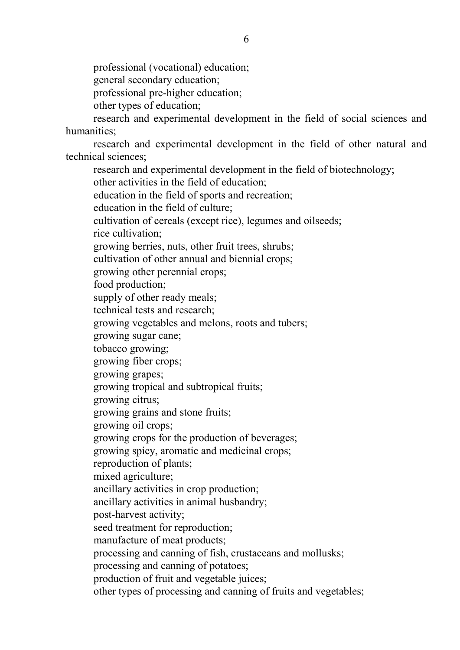professional (vocational) education;

general secondary education;

professional pre-higher education;

other types of education;

research and experimental development in the field of social sciences and humanities;

research and experimental development in the field of other natural and technical sciences;

research and experimental development in the field of biotechnology; other activities in the field of education; education in the field of sports and recreation; education in the field of culture; cultivation of cereals (except rice), legumes and oilseeds; rice cultivation; growing berries, nuts, other fruit trees, shrubs; cultivation of other annual and biennial crops; growing other perennial crops; food production; supply of other ready meals; technical tests and research; growing vegetables and melons, roots and tubers; growing sugar cane; tobacco growing; growing fiber crops; growing grapes; growing tropical and subtropical fruits; growing citrus; growing grains and stone fruits; growing oil crops; growing crops for the production of beverages; growing spicy, aromatic and medicinal crops; reproduction of plants; mixed agriculture; ancillary activities in crop production; ancillary activities in animal husbandry; post-harvest activity; seed treatment for reproduction; manufacture of meat products; processing and canning of fish, crustaceans and mollusks; processing and canning of potatoes; production of fruit and vegetable juices; other types of processing and canning of fruits and vegetables;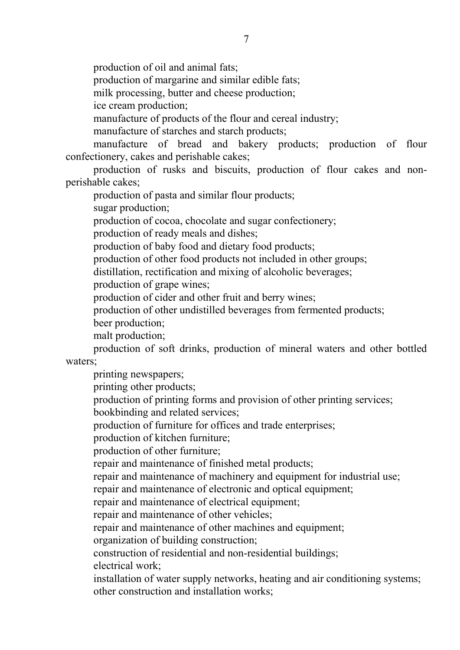production of oil and animal fats;

production of margarine and similar edible fats;

milk processing, butter and cheese production;

ice cream production;

manufacture of products of the flour and cereal industry;

manufacture of starches and starch products;

manufacture of bread and bakery products; production of flour confectionery, cakes and perishable cakes;

production of rusks and biscuits, production of flour cakes and nonperishable cakes;

production of pasta and similar flour products;

sugar production;

production of cocoa, chocolate and sugar confectionery;

production of ready meals and dishes;

production of baby food and dietary food products;

production of other food products not included in other groups;

distillation, rectification and mixing of alcoholic beverages;

production of grape wines;

production of cider and other fruit and berry wines;

production of other undistilled beverages from fermented products;

beer production;

malt production;

production of soft drinks, production of mineral waters and other bottled waters;

printing newspapers;

printing other products;

production of printing forms and provision of other printing services;

bookbinding and related services;

production of furniture for offices and trade enterprises;

production of kitchen furniture;

production of other furniture;

repair and maintenance of finished metal products;

repair and maintenance of machinery and equipment for industrial use;

repair and maintenance of electronic and optical equipment;

repair and maintenance of electrical equipment;

repair and maintenance of other vehicles;

repair and maintenance of other machines and equipment;

organization of building construction;

construction of residential and non-residential buildings;

electrical work;

installation of water supply networks, heating and air conditioning systems; other construction and installation works;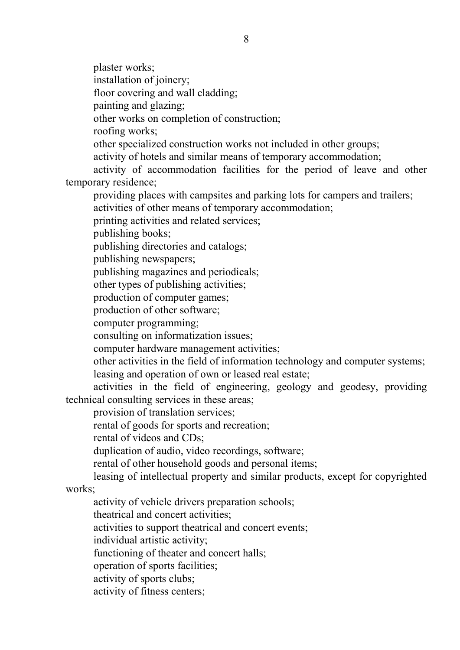plaster works; installation of joinery; floor covering and wall cladding; painting and glazing; other works on completion of construction; roofing works; other specialized construction works not included in other groups; activity of hotels and similar means of temporary accommodation; activity of accommodation facilities for the period of leave and other temporary residence; providing places with campsites and parking lots for campers and trailers; activities of other means of temporary accommodation; printing activities and related services; publishing books; publishing directories and catalogs; publishing newspapers; publishing magazines and periodicals; other types of publishing activities; production of computer games; production of other software; computer programming; consulting on informatization issues; computer hardware management activities; other activities in the field of information technology and computer systems; leasing and operation of own or leased real estate; activities in the field of engineering, geology and geodesy, providing technical consulting services in these areas; provision of translation services; rental of goods for sports and recreation; rental of videos and CDs; duplication of audio, video recordings, software; rental of other household goods and personal items; leasing of intellectual property and similar products, except for copyrighted works: activity of vehicle drivers preparation schools; theatrical and concert activities;

activities to support theatrical and concert events;

individual artistic activity;

functioning of theater and concert halls;

operation of sports facilities;

activity of sports clubs;

activity of fitness centers;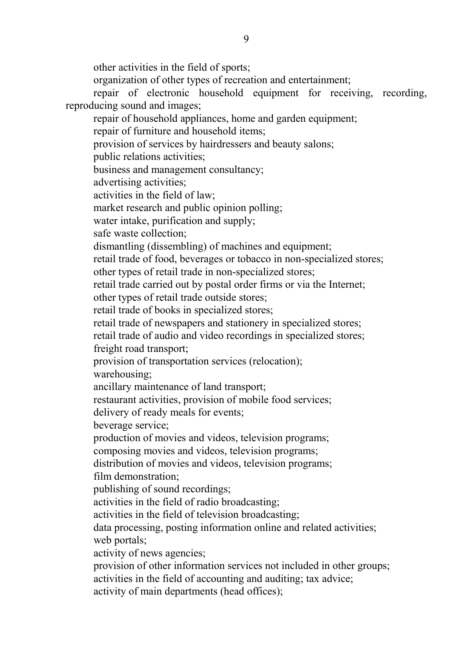other activities in the field of sports; organization of other types of recreation and entertainment; repair of electronic household equipment for receiving, recording, reproducing sound and images; repair of household appliances, home and garden equipment; repair of furniture and household items; provision of services by hairdressers and beauty salons; public relations activities; business and management consultancy; advertising activities; activities in the field of law; market research and public opinion polling; water intake, purification and supply; safe waste collection; dismantling (dissembling) of machines and equipment; retail trade of food, beverages or tobacco in non-specialized stores; other types of retail trade in non-specialized stores; retail trade carried out by postal order firms or via the Internet; other types of retail trade outside stores; retail trade of books in specialized stores; retail trade of newspapers and stationery in specialized stores; retail trade of audio and video recordings in specialized stores; freight road transport; provision of transportation services (relocation); warehousing; ancillary maintenance of land transport; restaurant activities, provision of mobile food services; delivery of ready meals for events; beverage service; production of movies and videos, television programs; composing movies and videos, television programs; distribution of movies and videos, television programs; film demonstration; publishing of sound recordings; activities in the field of radio broadcasting; activities in the field of television broadcasting; data processing, posting information online and related activities; web portals; activity of news agencies; provision of other information services not included in other groups; activities in the field of accounting and auditing; tax advice; activity of main departments (head offices);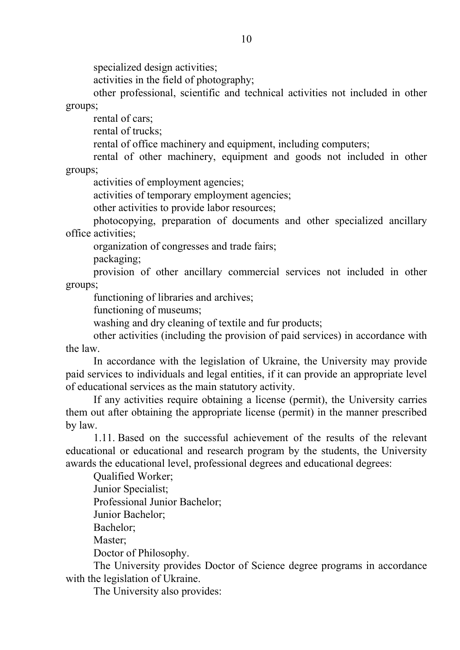specialized design activities;

activities in the field of photography;

other professional, scientific and technical activities not included in other groups;

rental of cars;

rental of trucks;

rental of office machinery and equipment, including computers;

rental of other machinery, equipment and goods not included in other groups;

activities of employment agencies;

activities of temporary employment agencies;

other activities to provide labor resources;

photocopying, preparation of documents and other specialized ancillary office activities;

organization of congresses and trade fairs;

packaging;

provision of other ancillary commercial services not included in other groups;

functioning of libraries and archives;

functioning of museums;

washing and dry cleaning of textile and fur products;

other activities (including the provision of paid services) in accordance with the law.

In accordance with the legislation of Ukraine, the University may provide paid services to individuals and legal entities, if it can provide an appropriate level of educational services as the main statutory activity.

If any activities require obtaining a license (permit), the University carries them out after obtaining the appropriate license (permit) in the manner prescribed by law.

1.11. Based on the successful achievement of the results of the relevant educational or educational and research program by the students, the University awards the educational level, professional degrees and educational degrees:

Qualified Worker;

Junior Specialist;

Professional Junior Bachelor;

Junior Bachelor;

Bachelor;

Master:

Doctor of Philosophy.

The University provides Doctor of Science degree programs in accordance with the legislation of Ukraine.

The University also provides: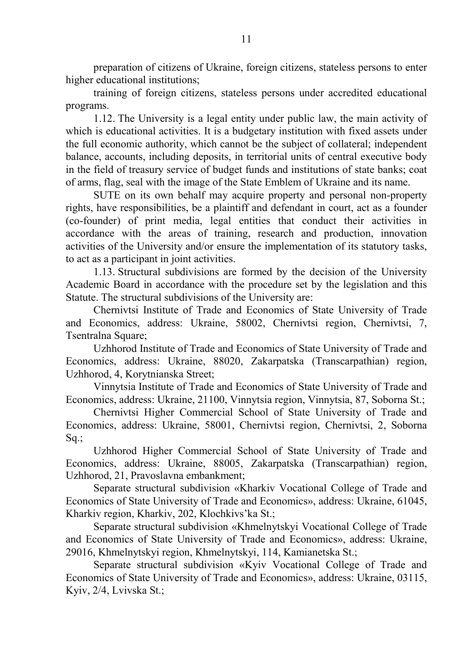preparation of citizens of Ukraine, foreign citizens, stateless persons to enter higher educational institutions;

training of foreign citizens, stateless persons under accredited educational programs.

1.12. The University is a legal entity under public law, the main activity of which is educational activities. It is a budgetary institution with fixed assets under the full economic authority, which cannot be the subject of collateral; independent balance, accounts, including deposits, in territorial units of central executive body in the field of treasury service of budget funds and institutions of state banks; coat of arms, flag, seal with the image of the State Emblem of Ukraine and its name.

SUTE on its own behalf may acquire property and personal non-property rights, have responsibilities, be a plaintiff and defendant in court, act as a founder (co-founder) of print media, legal entities that conduct their activities in accordance with the areas of training, research and production, innovation activities of the University and/or ensure the implementation of its statutory tasks, to act as a participant in joint activities.

1.13. Structural subdivisions are formed by the decision of the University Academic Board in accordance with the procedure set by the legislation and this Statute. The structural subdivisions of the University are:

Chernivtsi Institute of Trade and Economics of State University of Trade and Economics, address: Ukraine, 58002, Chernivtsi region, Chernivtsi, 7, Tsentralna Square;

Uzhhorod Institute of Trade and Economics of State University of Trade and Economics, address: Ukraine, 88020, Zakarpatska (Transcarpathian) region, Uzhhorod, 4, Korytnianska Street;

Vinnytsia Institute of Trade and Economics of State University of Trade and Economics, address: Ukraine, 21100, Vinnytsia region, Vinnytsia, 87, Soborna St.;

Chernivtsi Higher Commercial School of State University of Trade and Economics, address: Ukraine, 58001, Chernivtsi region, Chernivtsi, 2, Soborna Sq.;

Uzhhorod Higher Commercial School of State University of Trade and Economics, address: Ukraine, 88005, Zakarpatska (Transcarpathian) region, Uzhhorod, 21, Pravoslavna embankment;

Separate structural subdivision «Kharkiv Vocational College of Trade and Economics of State University of Trade and Economics», address: Ukraine, 61045, Kharkiv region, Kharkiv, 202, Klochkivs'ka St.;

Separate structural subdivision «Khmelnytskyi Vocational College of Trade and Economics of State University of Trade and Economics», address: Ukraine, 29016, Khmelnytskyi region, Khmelnytskyi, 114, Kamianetska St.;

Separate structural subdivision «Kyiv Vocational College of Trade and Economics of State University of Trade and Economics», address: Ukraine, 03115, Kyiv, 2/4, Lvivska St.;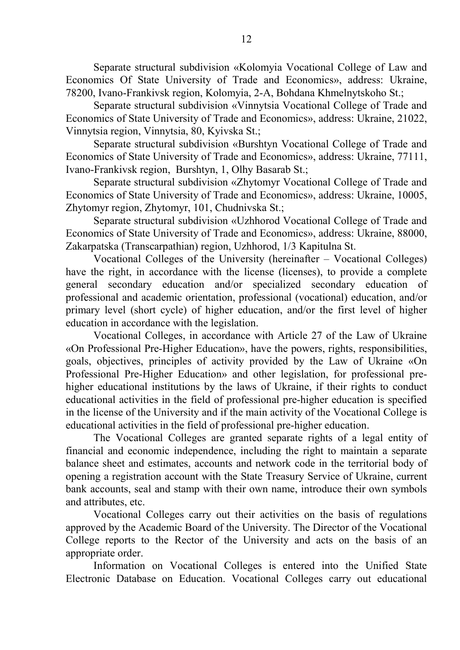Separate structural subdivision «Kolomyia Vocational College of Law and Economics Of State University of Trade and Economics», address: Ukraine, 78200, Ivano-Frankivsk region, Kolomyia, 2-A, Bohdana Khmelnytskoho St.;

Separate structural subdivision «Vinnytsia Vocational College of Trade and Economics of State University of Trade and Economics», address: Ukraine, 21022, Vinnytsia region, Vinnytsia, 80, Kyivska St.;

Separate structural subdivision «Burshtyn Vocational College of Trade and Economics of State University of Trade and Economics», address: Ukraine, 77111, Ivano-Frankivsk region, Burshtyn, 1, Olhy Basarab St.;

Separate structural subdivision «Zhytomyr Vocational College of Trade and Economics of State University of Trade and Economics», address: Ukraine, 10005, Zhytomyr region, Zhytomyr, 101, Chudnivska St.;

Separate structural subdivision «Uzhhorod Vocational College of Trade and Economics of State University of Trade and Economics», address: Ukraine, 88000, Zakarpatska (Transcarpathian) region, Uzhhorod, 1/3 Kapitulna St.

Vocational Colleges of the University (hereinafter – Vocational Colleges) have the right, in accordance with the license (licenses), to provide a complete general secondary education and/or specialized secondary education of professional and academic orientation, professional (vocational) education, and/or primary level (short cycle) of higher education, and/or the first level of higher education in accordance with the legislation.

Vocational Colleges, in accordance with Article 27 of the Law of Ukraine «On Professional Pre-Higher Education», have the powers, rights, responsibilities, goals, objectives, principles of activity provided by the Law of Ukraine «On Professional Pre-Higher Education» and other legislation, for professional prehigher educational institutions by the laws of Ukraine, if their rights to conduct educational activities in the field of professional pre-higher education is specified in the license of the University and if the main activity of the Vocational College is educational activities in the field of professional pre-higher education.

The Vocational Colleges are granted separate rights of a legal entity of financial and economic independence, including the right to maintain a separate balance sheet and estimates, accounts and network code in the territorial body of opening a registration account with the State Treasury Service of Ukraine, current bank accounts, seal and stamp with their own name, introduce their own symbols and attributes, etc.

Vocational Colleges carry out their activities on the basis of regulations approved by the Academic Board of the University. The Director of the Vocational College reports to the Rector of the University and acts on the basis of an appropriate order.

Information on Vocational Colleges is entered into the Unified State Electronic Database on Education. Vocational Colleges carry out educational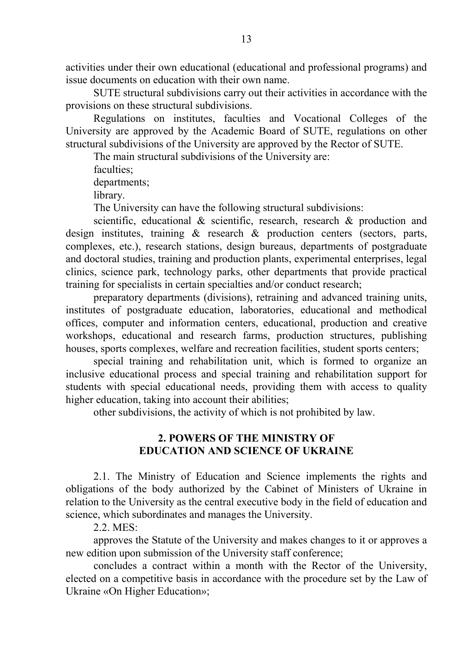activities under their own educational (educational and professional programs) and issue documents on education with their own name.

SUTE structural subdivisions carry out their activities in accordance with the provisions on these structural subdivisions.

Regulations on institutes, faculties and Vocational Colleges of the University are approved by the Academic Board of SUTE, regulations on other structural subdivisions of the University are approved by the Rector of SUTE.

The main structural subdivisions of the University are:

faculties;

departments;

library.

The University can have the following structural subdivisions:

scientific, educational & scientific, research, research & production and design institutes, training & research & production centers (sectors, parts, complexes, etc.), research stations, design bureaus, departments of postgraduate and doctoral studies, training and production plants, experimental enterprises, legal clinics, science park, technology parks, other departments that provide practical training for specialists in certain specialties and/or conduct research;

preparatory departments (divisions), retraining and advanced training units, institutes of postgraduate education, laboratories, educational and methodical offices, computer and information centers, educational, production and creative workshops, educational and research farms, production structures, publishing houses, sports complexes, welfare and recreation facilities, student sports centers;

special training and rehabilitation unit, which is formed to organize an inclusive educational process and special training and rehabilitation support for students with special educational needs, providing them with access to quality higher education, taking into account their abilities;

other subdivisions, the activity of which is not prohibited by law.

# **2. POWERS OF THE MINISTRY OF EDUCATION AND SCIENCE OF UKRAINE**

2.1. The Ministry of Education and Science implements the rights and obligations of the body authorized by the Cabinet of Ministers of Ukraine in relation to the University as the central executive body in the field of education and science, which subordinates and manages the University.

2.2. MES:

approves the Statute of the University and makes changes to it or approves a new edition upon submission of the University staff conference;

concludes a contract within a month with the Rector of the University, elected on a competitive basis in accordance with the procedure set by the Law of Ukraine «On Higher Education»;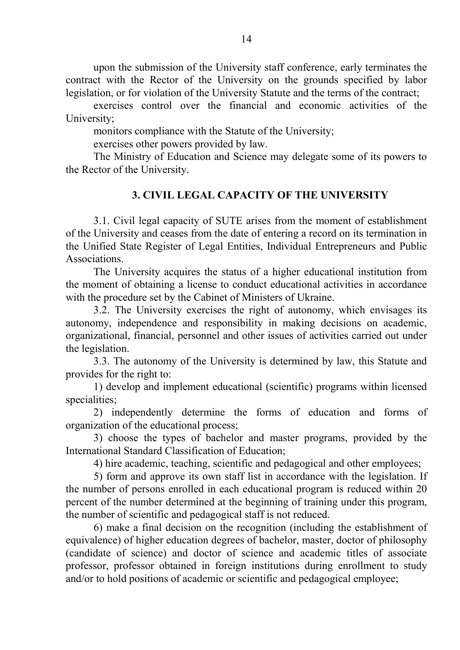upon the submission of the University staff conference, early terminates the contract with the Rector of the University on the grounds specified by labor legislation, or for violation of the University Statute and the terms of the contract;

exercises control over the financial and economic activities of the University;

monitors compliance with the Statute of the University;

exercises other powers provided by law.

The Ministry of Education and Science may delegate some of its powers to the Rector of the University.

# **3. CIVIL LEGAL CAPACITY OF THE UNIVERSITY**

3.1. Civil legal capacity of SUTE arises from the moment of establishment of the University and ceases from the date of entering a record on its termination in the Unified State Register of Legal Entities, Individual Entrepreneurs and Public Associations.

The University acquires the status of a higher educational institution from the moment of obtaining a license to conduct educational activities in accordance with the procedure set by the Cabinet of Ministers of Ukraine.

3.2. The University exercises the right of autonomy, which envisages its autonomy, independence and responsibility in making decisions on academic, organizational, financial, personnel and other issues of activities carried out under the legislation.

3.3. The autonomy of the University is determined by law, this Statute and provides for the right to:

1) develop and implement educational (scientific) programs within licensed specialities;

2) independently determine the forms of education and forms of organization of the educational process;

3) choose the types of bachelor and master programs, provided by the International Standard Classification of Education;

4) hire academic, teaching, scientific and pedagogical and other employees;

5) form and approve its own staff list in accordance with the legislation. If the number of persons enrolled in each educational program is reduced within 20 percent of the number determined at the beginning of training under this program, the number of scientific and pedagogical staff is not reduced.

6) make a final decision on the recognition (including the establishment of equivalence) of higher education degrees of bachelor, master, doctor of philosophy (candidate of science) and doctor of science and academic titles of associate professor, professor obtained in foreign institutions during enrollment to study and/or to hold positions of academic or scientific and pedagogical employee;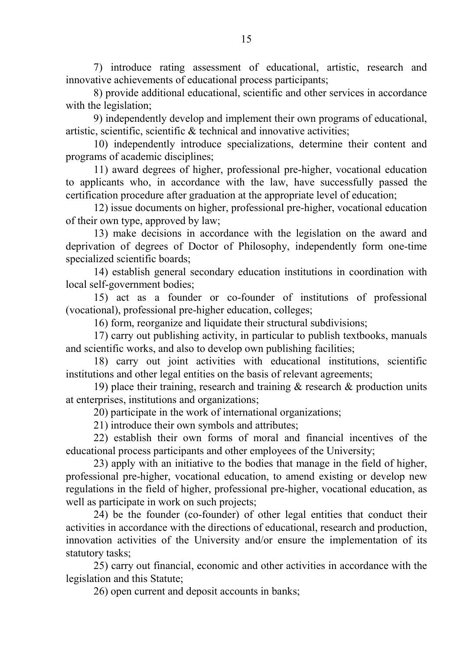7) introduce rating assessment of educational, artistic, research and innovative achievements of educational process participants;

8) provide additional educational, scientific and other services in accordance with the legislation:

9) independently develop and implement their own programs of educational, artistic, scientific, scientific & technical and innovative activities;

10) independently introduce specializations, determine their content and programs of academic disciplines;

11) award degrees of higher, professional pre-higher, vocational education to applicants who, in accordance with the law, have successfully passed the certification procedure after graduation at the appropriate level of education;

12) issue documents on higher, professional pre-higher, vocational education of their own type, approved by law;

13) make decisions in accordance with the legislation on the award and deprivation of degrees of Doctor of Philosophy, independently form one-time specialized scientific boards;

14) establish general secondary education institutions in coordination with local self-government bodies;

15) act as a founder or co-founder of institutions of professional (vocational), professional pre-higher education, colleges;

16) form, reorganize and liquidate their structural subdivisions;

17) carry out publishing activity, in particular to publish textbooks, manuals and scientific works, and also to develop own publishing facilities;

18) carry out joint activities with educational institutions, scientific institutions and other legal entities on the basis of relevant agreements;

19) place their training, research and training & research & production units at enterprises, institutions and organizations;

20) participate in the work of international organizations;

21) introduce their own symbols and attributes;

22) establish their own forms of moral and financial incentives of the educational process participants and other employees of the University;

23) apply with an initiative to the bodies that manage in the field of higher, professional pre-higher, vocational education, to amend existing or develop new regulations in the field of higher, professional pre-higher, vocational education, as well as participate in work on such projects;

24) be the founder (co-founder) of other legal entities that conduct their activities in accordance with the directions of educational, research and production, innovation activities of the University and/or ensure the implementation of its statutory tasks;

25) carry out financial, economic and other activities in accordance with the legislation and this Statute;

26) open current and deposit accounts in banks;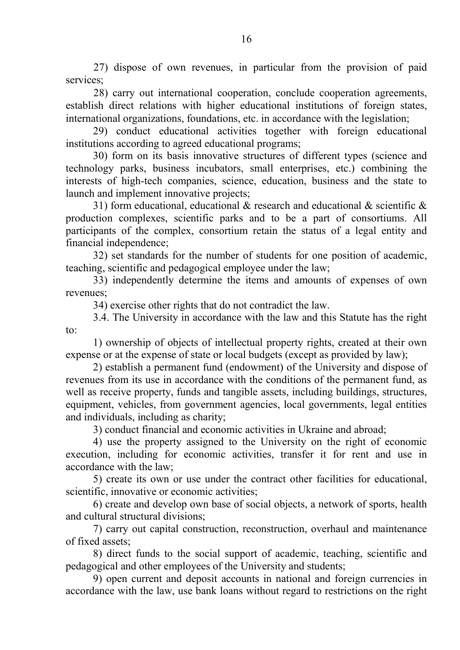27) dispose of own revenues, in particular from the provision of paid services;

28) carry out international cooperation, conclude cooperation agreements, establish direct relations with higher educational institutions of foreign states, international organizations, foundations, etc. in accordance with the legislation;

29) conduct educational activities together with foreign educational institutions according to agreed educational programs;

30) form on its basis innovative structures of different types (science and technology parks, business incubators, small enterprises, etc.) combining the interests of high-tech companies, science, education, business and the state to launch and implement innovative projects;

31) form educational, educational  $\&$  research and educational  $\&$  scientific  $\&$ production complexes, scientific parks and to be a part of consortiums. All participants of the complex, consortium retain the status of a legal entity and financial independence;

32) set standards for the number of students for one position of academic, teaching, scientific and pedagogical employee under the law;

33) independently determine the items and amounts of expenses of own revenues;

34) exercise other rights that do not contradict the law.

3.4. The University in accordance with the law and this Statute has the right to:

1) ownership of objects of intellectual property rights, created at their own expense or at the expense of state or local budgets (except as provided by law);

2) establish a permanent fund (endowment) of the University and dispose of revenues from its use in accordance with the conditions of the permanent fund, as well as receive property, funds and tangible assets, including buildings, structures, equipment, vehicles, from government agencies, local governments, legal entities and individuals, including as charity;

3) conduct financial and economic activities in Ukraine and abroad;

4) use the property assigned to the University on the right of economic execution, including for economic activities, transfer it for rent and use in accordance with the law;

5) create its own or use under the contract other facilities for educational, scientific, innovative or economic activities;

6) create and develop own base of social objects, a network of sports, health and cultural structural divisions;

7) carry out capital construction, reconstruction, overhaul and maintenance of fixed assets;

8) direct funds to the social support of academic, teaching, scientific and pedagogical and other employees of the University and students;

9) open current and deposit accounts in national and foreign currencies in accordance with the law, use bank loans without regard to restrictions on the right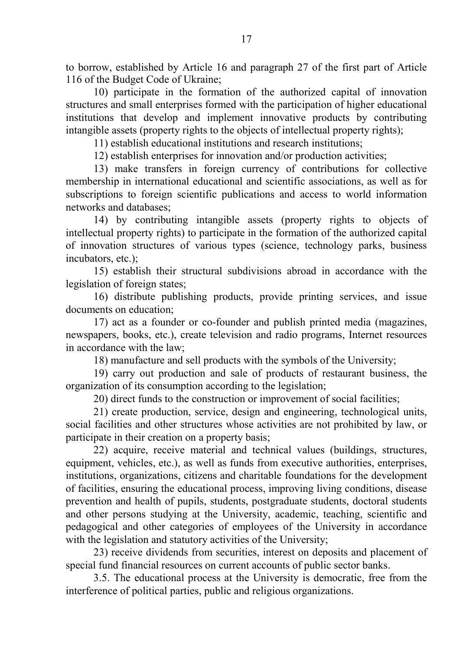to borrow, established by Article 16 and paragraph 27 of the first part of Article 116 of the Budget Code of Ukraine;

10) participate in the formation of the authorized capital of innovation structures and small enterprises formed with the participation of higher educational institutions that develop and implement innovative products by contributing intangible assets (property rights to the objects of intellectual property rights);

11) establish educational institutions and research institutions;

12) establish enterprises for innovation and/or production activities;

13) make transfers in foreign currency of contributions for collective membership in international educational and scientific associations, as well as for subscriptions to foreign scientific publications and access to world information networks and databases;

14) by contributing intangible assets (property rights to objects of intellectual property rights) to participate in the formation of the authorized capital of innovation structures of various types (science, technology parks, business incubators, etc.);

15) establish their structural subdivisions abroad in accordance with the legislation of foreign states;

16) distribute publishing products, provide printing services, and issue documents on education;

17) act as a founder or co-founder and publish printed media (magazines, newspapers, books, etc.), create television and radio programs, Internet resources in accordance with the law;

18) manufacture and sell products with the symbols of the University;

19) carry out production and sale of products of restaurant business, the organization of its consumption according to the legislation;

20) direct funds to the construction or improvement of social facilities;

21) create production, service, design and engineering, technological units, social facilities and other structures whose activities are not prohibited by law, or participate in their creation on a property basis;

22) acquire, receive material and technical values (buildings, structures, equipment, vehicles, etc.), as well as funds from executive authorities, enterprises, institutions, organizations, citizens and charitable foundations for the development of facilities, ensuring the educational process, improving living conditions, disease prevention and health of pupils, students, postgraduate students, doctoral students and other persons studying at the University, academic, teaching, scientific and pedagogical and other categories of employees of the University in accordance with the legislation and statutory activities of the University;

23) receive dividends from securities, interest on deposits and placement of special fund financial resources on current accounts of public sector banks.

3.5. The educational process at the University is democratic, free from the interference of political parties, public and religious organizations.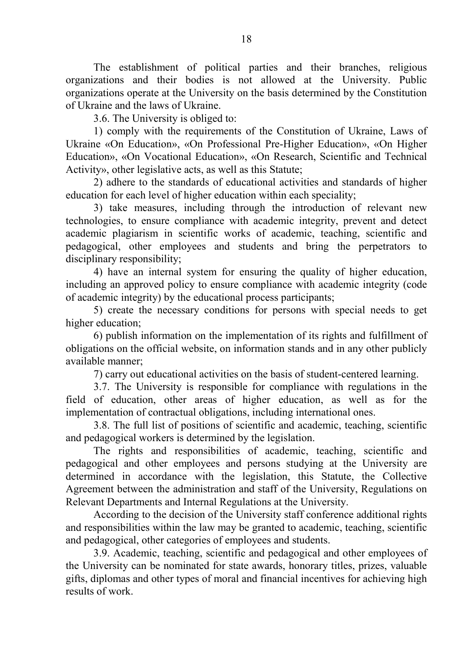The establishment of political parties and their branches, religious organizations and their bodies is not allowed at the University. Public organizations operate at the University on the basis determined by the Constitution of Ukraine and the laws of Ukraine.

3.6. The University is obliged to:

1) comply with the requirements of the Constitution of Ukraine, Laws of Ukraine «On Education», «On Professional Pre-Higher Education», «On Higher Education», «On Vocational Education», «On Research, Scientific and Technical Activity», other legislative acts, as well as this Statute;

2) adhere to the standards of educational activities and standards of higher education for each level of higher education within each speciality;

3) take measures, including through the introduction of relevant new technologies, to ensure compliance with academic integrity, prevent and detect academic plagiarism in scientific works of academic, teaching, scientific and pedagogical, other employees and students and bring the perpetrators to disciplinary responsibility;

4) have an internal system for ensuring the quality of higher education, including an approved policy to ensure compliance with academic integrity (code of academic integrity) by the educational process participants;

5) create the necessary conditions for persons with special needs to get higher education;

6) publish information on the implementation of its rights and fulfillment of obligations on the official website, on information stands and in any other publicly available manner;

7) carry out educational activities on the basis of student-centered learning.

3.7. The University is responsible for compliance with regulations in the field of education, other areas of higher education, as well as for the implementation of contractual obligations, including international ones.

3.8. The full list of positions of scientific and academic, teaching, scientific and pedagogical workers is determined by the legislation.

The rights and responsibilities of academic, teaching, scientific and pedagogical and other employees and persons studying at the University are determined in accordance with the legislation, this Statute, the Collective Agreement between the administration and staff of the University, Regulations on Relevant Departments and Internal Regulations at the University.

According to the decision of the University staff conference additional rights and responsibilities within the law may be granted to academic, teaching, scientific and pedagogical, other categories of employees and students.

3.9. Academic, teaching, scientific and pedagogical and other employees of the University can be nominated for state awards, honorary titles, prizes, valuable gifts, diplomas and other types of moral and financial incentives for achieving high results of work.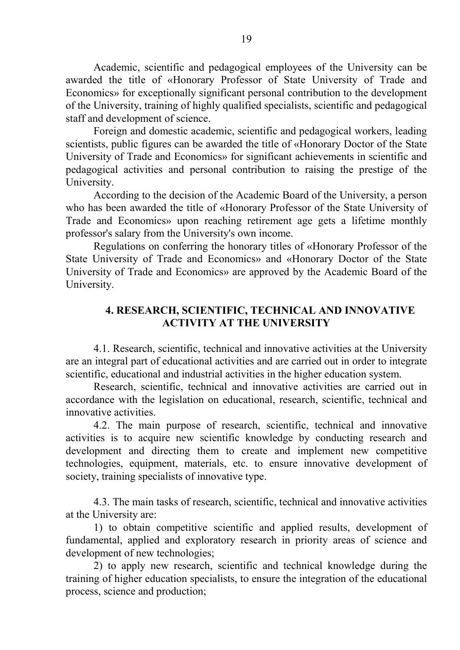Academic, scientific and pedagogical employees of the University can be awarded the title of «Honorary Professor of State University of Trade and Economics» for exceptionally significant personal contribution to the development of the University, training of highly qualified specialists, scientific and pedagogical staff and development of science.

Foreign and domestic academic, scientific and pedagogical workers, leading scientists, public figures can be awarded the title of «Honorary Doctor of the State University of Trade and Economics» for significant achievements in scientific and pedagogical activities and personal contribution to raising the prestige of the University.

According to the decision of the Academic Board of the University, a person who has been awarded the title of «Honorary Professor of the State University of Trade and Economics» upon reaching retirement age gets a lifetime monthly professor's salary from the University's own income.

Regulations on conferring the honorary titles of «Honorary Professor of the State University of Trade and Economics» and «Honorary Doctor of the State University of Trade and Economics» are approved by the Academic Board of the University.

# **4. RESEARCH, SCIENTIFIC, TECHNICAL AND INNOVATIVE ACTIVITY AT THE UNIVERSITY**

4.1. Research, scientific, technical and innovative activities at the University are an integral part of educational activities and are carried out in order to integrate scientific, educational and industrial activities in the higher education system.

Research, scientific, technical and innovative activities are carried out in accordance with the legislation on educational, research, scientific, technical and innovative activities.

4.2. The main purpose of research, scientific, technical and innovative activities is to acquire new scientific knowledge by conducting research and development and directing them to create and implement new competitive technologies, equipment, materials, etc. to ensure innovative development of society, training specialists of innovative type.

4.3. The main tasks of research, scientific, technical and innovative activities at the University are:

1) to obtain competitive scientific and applied results, development of fundamental, applied and exploratory research in priority areas of science and development of new technologies;

2) to apply new research, scientific and technical knowledge during the training of higher education specialists, to ensure the integration of the educational process, science and production;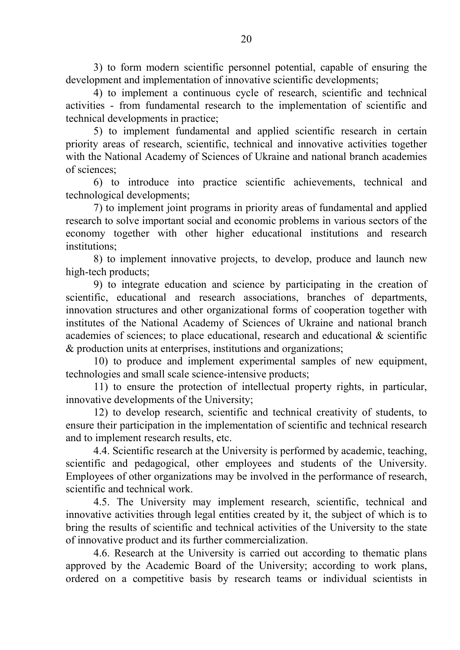3) to form modern scientific personnel potential, capable of ensuring the development and implementation of innovative scientific developments;

4) to implement a continuous cycle of research, scientific and technical activities - from fundamental research to the implementation of scientific and technical developments in practice;

5) to implement fundamental and applied scientific research in certain priority areas of research, scientific, technical and innovative activities together with the National Academy of Sciences of Ukraine and national branch academies of sciences;

6) to introduce into practice scientific achievements, technical and technological developments;

7) to implement joint programs in priority areas of fundamental and applied research to solve important social and economic problems in various sectors of the economy together with other higher educational institutions and research institutions;

8) to implement innovative projects, to develop, produce and launch new high-tech products;

9) to integrate education and science by participating in the creation of scientific, educational and research associations, branches of departments, innovation structures and other organizational forms of cooperation together with institutes of the National Academy of Sciences of Ukraine and national branch academies of sciences; to place educational, research and educational & scientific & production units at enterprises, institutions and organizations;

10) to produce and implement experimental samples of new equipment, technologies and small scale science-intensive products;

11) to ensure the protection of intellectual property rights, in particular, innovative developments of the University;

12) to develop research, scientific and technical creativity of students, to ensure their participation in the implementation of scientific and technical research and to implement research results, etc.

4.4. Scientific research at the University is performed by academic, teaching, scientific and pedagogical, other employees and students of the University. Employees of other organizations may be involved in the performance of research, scientific and technical work.

4.5. The University may implement research, scientific, technical and innovative activities through legal entities created by it, the subject of which is to bring the results of scientific and technical activities of the University to the state of innovative product and its further commercialization.

4.6. Research at the University is carried out according to thematic plans approved by the Academic Board of the University; according to work plans, ordered on a competitive basis by research teams or individual scientists in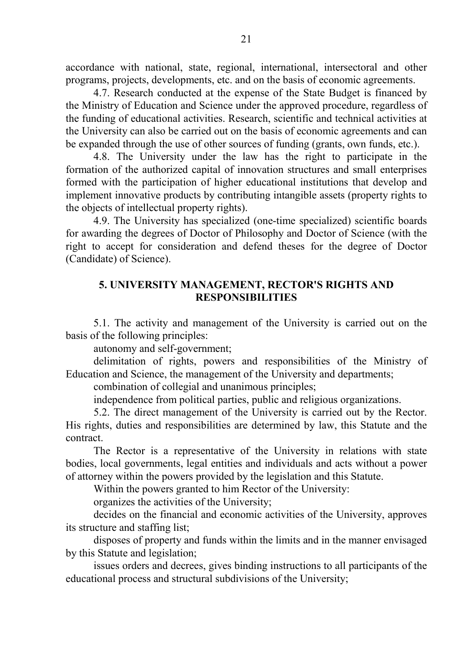accordance with national, state, regional, international, intersectoral and other programs, projects, developments, etc. and on the basis of economic agreements.

4.7. Research conducted at the expense of the State Budget is financed by the Ministry of Education and Science under the approved procedure, regardless of the funding of educational activities. Research, scientific and technical activities at the University can also be carried out on the basis of economic agreements and can be expanded through the use of other sources of funding (grants, own funds, etc.).

4.8. The University under the law has the right to participate in the formation of the authorized capital of innovation structures and small enterprises formed with the participation of higher educational institutions that develop and implement innovative products by contributing intangible assets (property rights to the objects of intellectual property rights).

4.9. The University has specialized (one-time specialized) scientific boards for awarding the degrees of Doctor of Philosophy and Doctor of Science (with the right to accept for consideration and defend theses for the degree of Doctor (Candidate) of Science).

# **5. UNIVERSITY MANAGEMENT, RECTOR'S RIGHTS AND RESPONSIBILITIES**

5.1. The activity and management of the University is carried out on the basis of the following principles:

autonomy and self-government;

delimitation of rights, powers and responsibilities of the Ministry of Education and Science, the management of the University and departments;

combination of collegial and unanimous principles;

independence from political parties, public and religious organizations.

5.2. The direct management of the University is carried out by the Rector. His rights, duties and responsibilities are determined by law, this Statute and the contract.

The Rector is a representative of the University in relations with state bodies, local governments, legal entities and individuals and acts without a power of attorney within the powers provided by the legislation and this Statute.

Within the powers granted to him Rector of the University:

organizes the activities of the University;

decides on the financial and economic activities of the University, approves its structure and staffing list;

disposes of property and funds within the limits and in the manner envisaged by this Statute and legislation;

issues orders and decrees, gives binding instructions to all participants of the educational process and structural subdivisions of the University;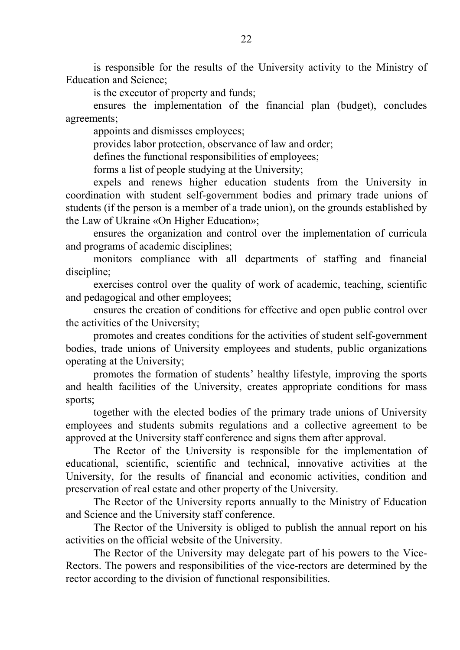is responsible for the results of the University activity to the Ministry of Education and Science;

is the executor of property and funds;

ensures the implementation of the financial plan (budget), concludes agreements;

appoints and dismisses employees;

provides labor protection, observance of law and order;

defines the functional responsibilities of employees;

forms a list of people studying at the University;

expels and renews higher education students from the University in coordination with student self-government bodies and primary trade unions of students (if the person is a member of a trade union), on the grounds established by the Law of Ukraine «On Higher Education»;

ensures the organization and control over the implementation of curricula and programs of academic disciplines;

monitors compliance with all departments of staffing and financial discipline;

exercises control over the quality of work of academic, teaching, scientific and pedagogical and other employees;

ensures the creation of conditions for effective and open public control over the activities of the University;

promotes and creates conditions for the activities of student self-government bodies, trade unions of University employees and students, public organizations operating at the University;

promotes the formation of students' healthy lifestyle, improving the sports and health facilities of the University, creates appropriate conditions for mass sports;

together with the elected bodies of the primary trade unions of University employees and students submits regulations and a collective agreement to be approved at the University staff conference and signs them after approval.

The Rector of the University is responsible for the implementation of educational, scientific, scientific and technical, innovative activities at the University, for the results of financial and economic activities, condition and preservation of real estate and other property of the University.

The Rector of the University reports annually to the Ministry of Education and Science and the University staff conference.

The Rector of the University is obliged to publish the annual report on his activities on the official website of the University.

The Rector of the University may delegate part of his powers to the Vice-Rectors. The powers and responsibilities of the vice-rectors are determined by the rector according to the division of functional responsibilities.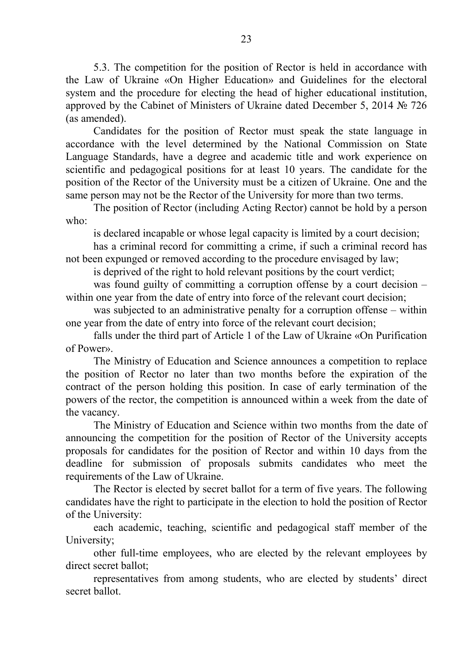5.3. The competition for the position of Rector is held in accordance with the Law of Ukraine «On Higher Education» and Guidelines for the electoral system and the procedure for electing the head of higher educational institution, approved by the Cabinet of Ministers of Ukraine dated December 5, 2014  $\mathcal{N}_2$  726 (as amended).

Candidates for the position of Rector must speak the state language in accordance with the level determined by the National Commission on State Language Standards, have a degree and academic title and work experience on scientific and pedagogical positions for at least 10 years. The candidate for the position of the Rector of the University must be a citizen of Ukraine. One and the same person may not be the Rector of the University for more than two terms.

The position of Rector (including Acting Rector) cannot be hold by a person who:

is declared incapable or whose legal capacity is limited by a court decision;

has a criminal record for committing a crime, if such a criminal record has not been expunged or removed according to the procedure envisaged by law;

is deprived of the right to hold relevant positions by the court verdict;

was found guilty of committing a corruption offense by a court decision – within one year from the date of entry into force of the relevant court decision;

was subjected to an administrative penalty for a corruption offense – within one year from the date of entry into force of the relevant court decision;

falls under the third part of Article 1 of the Law of Ukraine «On Purification of Power».

The Ministry of Education and Science announces a competition to replace the position of Rector no later than two months before the expiration of the contract of the person holding this position. In case of early termination of the powers of the rector, the competition is announced within a week from the date of the vacancy.

The Ministry of Education and Science within two months from the date of announcing the competition for the position of Rector of the University accepts proposals for candidates for the position of Rector and within 10 days from the deadline for submission of proposals submits candidates who meet the requirements of the Law of Ukraine.

The Rector is elected by secret ballot for a term of five years. The following candidates have the right to participate in the election to hold the position of Rector of the University:

each academic, teaching, scientific and pedagogical staff member of the University;

other full-time employees, who are elected by the relevant employees by direct secret ballot;

representatives from among students, who are elected by students' direct secret ballot.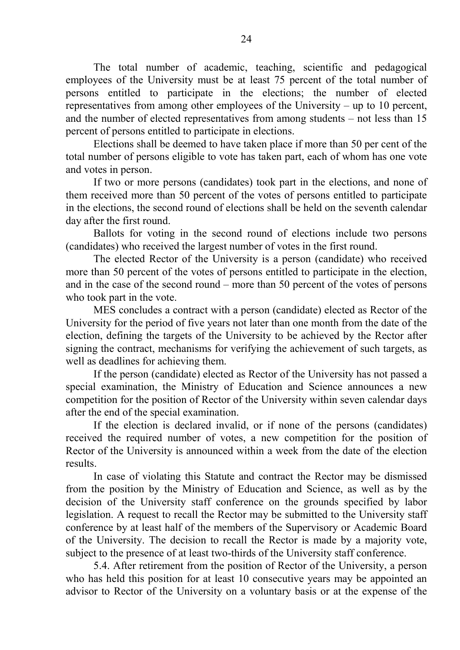The total number of academic, teaching, scientific and pedagogical employees of the University must be at least 75 percent of the total number of persons entitled to participate in the elections; the number of elected representatives from among other employees of the University – up to 10 percent, and the number of elected representatives from among students – not less than 15 percent of persons entitled to participate in elections.

Elections shall be deemed to have taken place if more than 50 per cent of the total number of persons eligible to vote has taken part, each of whom has one vote and votes in person.

If two or more persons (candidates) took part in the elections, and none of them received more than 50 percent of the votes of persons entitled to participate in the elections, the second round of elections shall be held on the seventh calendar day after the first round.

Ballots for voting in the second round of elections include two persons (candidates) who received the largest number of votes in the first round.

The elected Rector of the University is a person (candidate) who received more than 50 percent of the votes of persons entitled to participate in the election, and in the case of the second round – more than 50 percent of the votes of persons who took part in the vote.

MES concludes a contract with a person (candidate) elected as Rector of the University for the period of five years not later than one month from the date of the election, defining the targets of the University to be achieved by the Rector after signing the contract, mechanisms for verifying the achievement of such targets, as well as deadlines for achieving them.

If the person (candidate) elected as Rector of the University has not passed a special examination, the Ministry of Education and Science announces a new competition for the position of Rector of the University within seven calendar days after the end of the special examination.

If the election is declared invalid, or if none of the persons (candidates) received the required number of votes, a new competition for the position of Rector of the University is announced within a week from the date of the election results.

In case of violating this Statute and contract the Rector may be dismissed from the position by the Ministry of Education and Science, as well as by the decision of the University staff conference on the grounds specified by labor legislation. A request to recall the Rector may be submitted to the University staff conference by at least half of the members of the Supervisory or Academic Board of the University. The decision to recall the Rector is made by a majority vote, subject to the presence of at least two-thirds of the University staff conference.

5.4. After retirement from the position of Rector of the University, a person who has held this position for at least 10 consecutive years may be appointed an advisor to Rector of the University on a voluntary basis or at the expense of the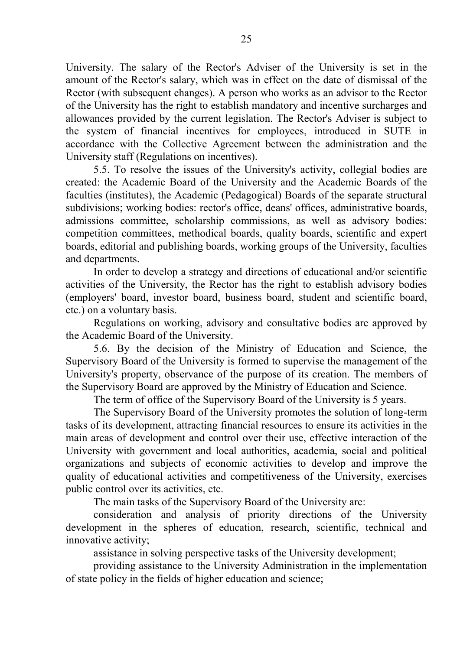University. The salary of the Rector's Adviser of the University is set in the amount of the Rector's salary, which was in effect on the date of dismissal of the Rector (with subsequent changes). A person who works as an advisor to the Rector of the University has the right to establish mandatory and incentive surcharges and allowances provided by the current legislation. The Rector's Adviser is subject to the system of financial incentives for employees, introduced in SUTE in accordance with the Collective Agreement between the administration and the University staff (Regulations on incentives).

5.5. To resolve the issues of the University's activity, collegial bodies are created: the Academic Board of the University and the Academic Boards of the faculties (institutes), the Academic (Pedagogical) Boards of the separate structural subdivisions; working bodies: rector's office, deans' offices, administrative boards, admissions committee, scholarship commissions, as well as advisory bodies: competition committees, methodical boards, quality boards, scientific and expert boards, editorial and publishing boards, working groups of the University, faculties and departments.

In order to develop a strategy and directions of educational and/or scientific activities of the University, the Rector has the right to establish advisory bodies (employers' board, investor board, business board, student and scientific board, etc.) on a voluntary basis.

Regulations on working, advisory and consultative bodies are approved by the Academic Board of the University.

5.6. By the decision of the Ministry of Education and Science, the Supervisory Board of the University is formed to supervise the management of the University's property, observance of the purpose of its creation. The members of the Supervisory Board are approved by the Ministry of Education and Science.

The term of office of the Supervisory Board of the University is 5 years.

The Supervisory Board of the University promotes the solution of long-term tasks of its development, attracting financial resources to ensure its activities in the main areas of development and control over their use, effective interaction of the University with government and local authorities, academia, social and political organizations and subjects of economic activities to develop and improve the quality of educational activities and competitiveness of the University, exercises public control over its activities, etc.

The main tasks of the Supervisory Board of the University are:

consideration and analysis of priority directions of the University development in the spheres of education, research, scientific, technical and innovative activity;

assistance in solving perspective tasks of the University development;

providing assistance to the University Administration in the implementation of state policy in the fields of higher education and science;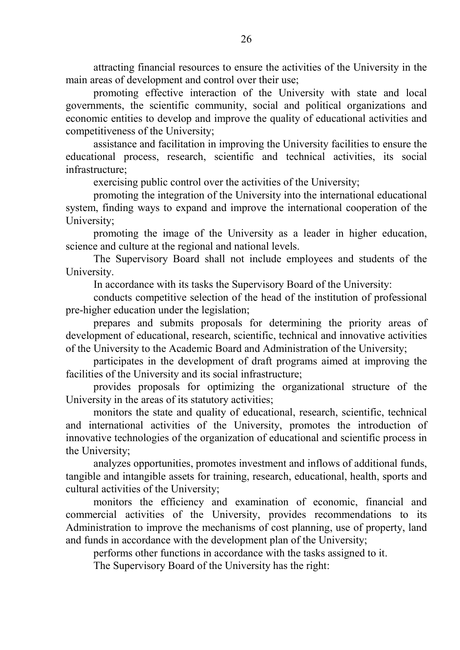attracting financial resources to ensure the activities of the University in the main areas of development and control over their use;

promoting effective interaction of the University with state and local governments, the scientific community, social and political organizations and economic entities to develop and improve the quality of educational activities and competitiveness of the University;

assistance and facilitation in improving the University facilities to ensure the educational process, research, scientific and technical activities, its social infrastructure;

exercising public control over the activities of the University;

promoting the integration of the University into the international educational system, finding ways to expand and improve the international cooperation of the University;

promoting the image of the University as a leader in higher education, science and culture at the regional and national levels.

The Supervisory Board shall not include employees and students of the University.

In accordance with its tasks the Supervisory Board of the University:

conducts competitive selection of the head of the institution of professional pre-higher education under the legislation;

prepares and submits proposals for determining the priority areas of development of educational, research, scientific, technical and innovative activities of the University to the Academic Board and Administration of the University;

participates in the development of draft programs aimed at improving the facilities of the University and its social infrastructure;

provides proposals for optimizing the organizational structure of the University in the areas of its statutory activities;

monitors the state and quality of educational, research, scientific, technical and international activities of the University, promotes the introduction of innovative technologies of the organization of educational and scientific process in the University;

analyzes opportunities, promotes investment and inflows of additional funds, tangible and intangible assets for training, research, educational, health, sports and cultural activities of the University;

monitors the efficiency and examination of economic, financial and commercial activities of the University, provides recommendations to its Administration to improve the mechanisms of cost planning, use of property, land and funds in accordance with the development plan of the University;

performs other functions in accordance with the tasks assigned to it.

The Supervisory Board of the University has the right: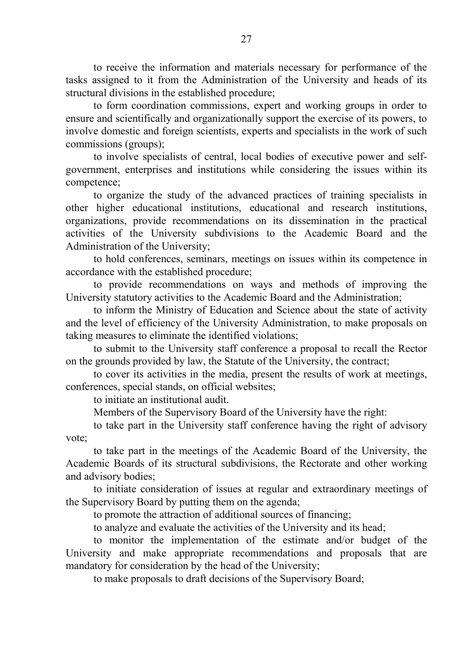to receive the information and materials necessary for performance of the tasks assigned to it from the Administration of the University and heads of its structural divisions in the established procedure;

to form coordination commissions, expert and working groups in order to ensure and scientifically and organizationally support the exercise of its powers, to involve domestic and foreign scientists, experts and specialists in the work of such commissions (groups);

to involve specialists of central, local bodies of executive power and selfgovernment, enterprises and institutions while considering the issues within its competence;

to organize the study of the advanced practices of training specialists in other higher educational institutions, educational and research institutions, organizations, provide recommendations on its dissemination in the practical activities of the University subdivisions to the Academic Board and the Administration of the University;

to hold conferences, seminars, meetings on issues within its competence in accordance with the established procedure;

to provide recommendations on ways and methods of improving the University statutory activities to the Academic Board and the Administration;

to inform the Ministry of Education and Science about the state of activity and the level of efficiency of the University Administration, to make proposals on taking measures to eliminate the identified violations;

to submit to the University staff conference a proposal to recall the Rector on the grounds provided by law, the Statute of the University, the contract;

to cover its activities in the media, present the results of work at meetings, conferences, special stands, on official websites;

to initiate an institutional audit.

Members of the Supervisory Board of the University have the right:

to take part in the University staff conference having the right of advisory vote;

to take part in the meetings of the Academic Board of the University, the Academic Boards of its structural subdivisions, the Rectorate and other working and advisory bodies;

to initiate consideration of issues at regular and extraordinary meetings of the Supervisory Board by putting them on the agenda;

to promote the attraction of additional sources of financing;

to analyze and evaluate the activities of the University and its head;

to monitor the implementation of the estimate and/or budget of the University and make appropriate recommendations and proposals that are mandatory for consideration by the head of the University;

to make proposals to draft decisions of the Supervisory Board;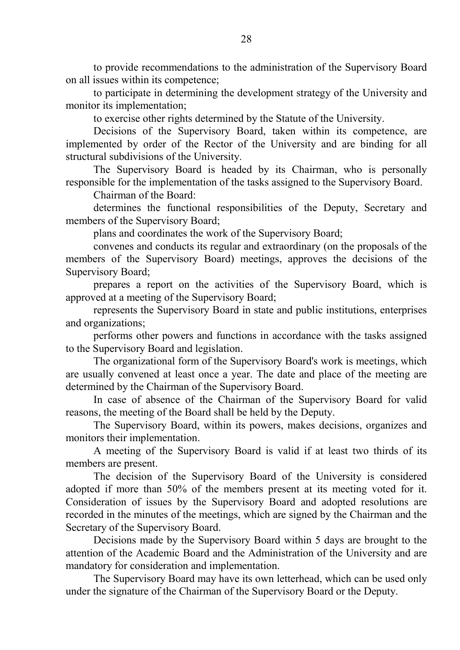to provide recommendations to the administration of the Supervisory Board on all issues within its competence;

to participate in determining the development strategy of the University and monitor its implementation;

to exercise other rights determined by the Statute of the University.

Decisions of the Supervisory Board, taken within its competence, are implemented by order of the Rector of the University and are binding for all structural subdivisions of the University.

The Supervisory Board is headed by its Chairman, who is personally responsible for the implementation of the tasks assigned to the Supervisory Board.

Chairman of the Board:

determines the functional responsibilities of the Deputy, Secretary and members of the Supervisory Board;

plans and coordinates the work of the Supervisory Board;

convenes and conducts its regular and extraordinary (on the proposals of the members of the Supervisory Board) meetings, approves the decisions of the Supervisory Board;

prepares a report on the activities of the Supervisory Board, which is approved at a meeting of the Supervisory Board;

represents the Supervisory Board in state and public institutions, enterprises and organizations;

performs other powers and functions in accordance with the tasks assigned to the Supervisory Board and legislation.

The organizational form of the Supervisory Board's work is meetings, which are usually convened at least once a year. The date and place of the meeting are determined by the Chairman of the Supervisory Board.

In case of absence of the Chairman of the Supervisory Board for valid reasons, the meeting of the Board shall be held by the Deputy.

The Supervisory Board, within its powers, makes decisions, organizes and monitors their implementation.

A meeting of the Supervisory Board is valid if at least two thirds of its members are present.

The decision of the Supervisory Board of the University is considered adopted if more than 50% of the members present at its meeting voted for it. Consideration of issues by the Supervisory Board and adopted resolutions are recorded in the minutes of the meetings, which are signed by the Chairman and the Secretary of the Supervisory Board.

Decisions made by the Supervisory Board within 5 days are brought to the attention of the Academic Board and the Administration of the University and are mandatory for consideration and implementation.

The Supervisory Board may have its own letterhead, which can be used only under the signature of the Chairman of the Supervisory Board or the Deputy.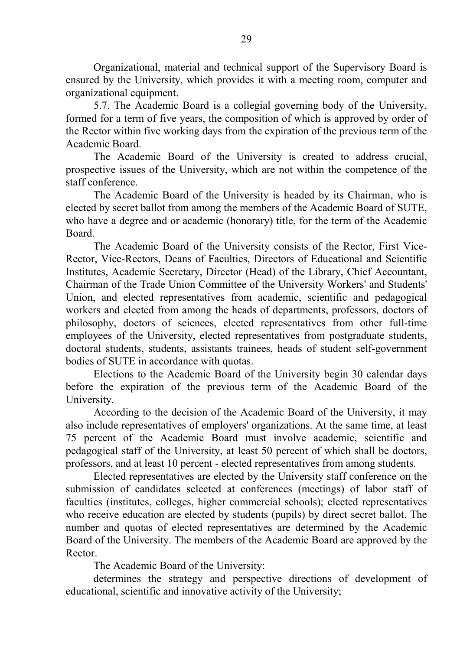Organizational, material and technical support of the Supervisory Board is ensured by the University, which provides it with a meeting room, computer and organizational equipment.

5.7. The Academic Board is a collegial governing body of the University, formed for a term of five years, the composition of which is approved by order of the Rector within five working days from the expiration of the previous term of the Academic Board.

The Academic Board of the University is created to address crucial, prospective issues of the University, which are not within the competence of the staff conference.

The Academic Board of the University is headed by its Chairman, who is elected by secret ballot from among the members of the Academic Board of SUTE, who have a degree and or academic (honorary) title, for the term of the Academic Board.

The Academic Board of the University consists of the Rector, First Vice-Rector, Vice-Rectors, Deans of Faculties, Directors of Educational and Scientific Institutes, Academic Secretary, Director (Head) of the Library, Chief Accountant, Chairman of the Trade Union Committee of the University Workers' and Students' Union, and elected representatives from academic, scientific and pedagogical workers and elected from among the heads of departments, professors, doctors of philosophy, doctors of sciences, elected representatives from other full-time employees of the University, elected representatives from postgraduate students, doctoral students, students, assistants trainees, heads of student self-government bodies of SUTE in accordance with quotas.

Elections to the Academic Board of the University begin 30 calendar days before the expiration of the previous term of the Academic Board of the University.

According to the decision of the Academic Board of the University, it may also include representatives of employers' organizations. At the same time, at least 75 percent of the Academic Board must involve academic, scientific and pedagogical staff of the University, at least 50 percent of which shall be doctors, professors, and at least 10 percent - elected representatives from among students.

Elected representatives are elected by the University staff conference on the submission of candidates selected at conferences (meetings) of labor staff of faculties (institutes, colleges, higher commercial schools); elected representatives who receive education are elected by students (pupils) by direct secret ballot. The number and quotas of elected representatives are determined by the Academic Board of the University. The members of the Academic Board are approved by the Rector.

The Academic Board of the University:

determines the strategy and perspective directions of development of educational, scientific and innovative activity of the University;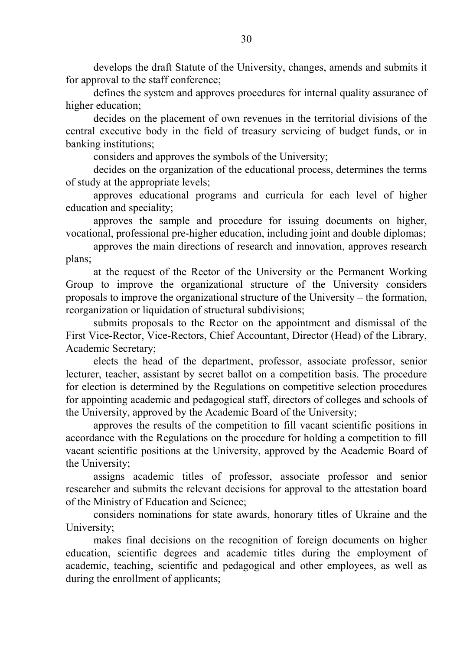develops the draft Statute of the University, changes, amends and submits it for approval to the staff conference;

defines the system and approves procedures for internal quality assurance of higher education;

decides on the placement of own revenues in the territorial divisions of the central executive body in the field of treasury servicing of budget funds, or in banking institutions;

considers and approves the symbols of the University;

decides on the organization of the educational process, determines the terms of study at the appropriate levels;

approves educational programs and curricula for each level of higher education and speciality;

approves the sample and procedure for issuing documents on higher, vocational, professional pre-higher education, including joint and double diplomas;

approves the main directions of research and innovation, approves research plans;

at the request of the Rector of the University or the Permanent Working Group to improve the organizational structure of the University considers proposals to improve the organizational structure of the University – the formation, reorganization or liquidation of structural subdivisions;

submits proposals to the Rector on the appointment and dismissal of the First Vice-Rector, Vice-Rectors, Chief Accountant, Director (Head) of the Library, Academic Secretary;

elects the head of the department, professor, associate professor, senior lecturer, teacher, assistant by secret ballot on a competition basis. The procedure for election is determined by the Regulations on competitive selection procedures for appointing academic and pedagogical staff, directors of colleges and schools of the University, approved by the Academic Board of the University;

approves the results of the competition to fill vacant scientific positions in accordance with the Regulations on the procedure for holding a competition to fill vacant scientific positions at the University, approved by the Academic Board of the University;

assigns academic titles of professor, associate professor and senior researcher and submits the relevant decisions for approval to the attestation board of the Ministry of Education and Science;

considers nominations for state awards, honorary titles of Ukraine and the University;

makes final decisions on the recognition of foreign documents on higher education, scientific degrees and academic titles during the employment of academic, teaching, scientific and pedagogical and other employees, as well as during the enrollment of applicants;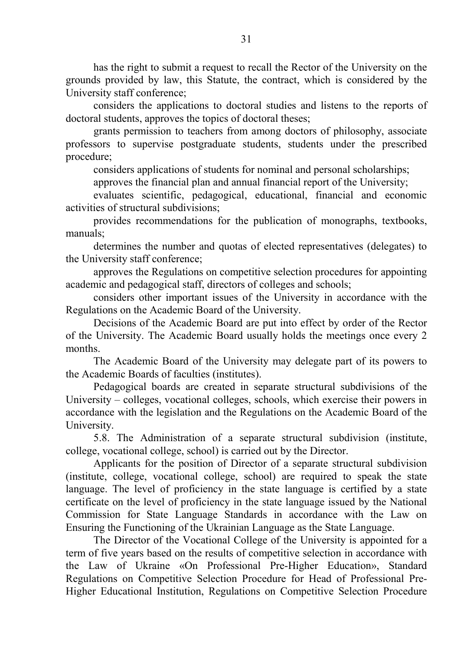has the right to submit a request to recall the Rector of the University on the grounds provided by law, this Statute, the contract, which is considered by the University staff conference;

considers the applications to doctoral studies and listens to the reports of doctoral students, approves the topics of doctoral theses;

grants permission to teachers from among doctors of philosophy, associate professors to supervise postgraduate students, students under the prescribed procedure;

considers applications of students for nominal and personal scholarships;

approves the financial plan and annual financial report of the University;

evaluates scientific, pedagogical, educational, financial and economic activities of structural subdivisions;

provides recommendations for the publication of monographs, textbooks, manuals;

determines the number and quotas of elected representatives (delegates) to the University staff conference;

approves the Regulations on competitive selection procedures for appointing academic and pedagogical staff, directors of colleges and schools;

considers other important issues of the University in accordance with the Regulations on the Academic Board of the University.

Decisions of the Academic Board are put into effect by order of the Rector of the University. The Academic Board usually holds the meetings once every 2 months.

The Academic Board of the University may delegate part of its powers to the Academic Boards of faculties (institutes).

Pedagogical boards are created in separate structural subdivisions of the University – colleges, vocational colleges, schools, which exercise their powers in accordance with the legislation and the Regulations on the Academic Board of the University.

5.8. The Administration of a separate structural subdivision (institute, college, vocational college, school) is carried out by the Director.

Applicants for the position of Director of a separate structural subdivision (institute, college, vocational college, school) are required to speak the state language. The level of proficiency in the state language is certified by a state certificate on the level of proficiency in the state language issued by the National Commission for State Language Standards in accordance with the Law on Ensuring the Functioning of the Ukrainian Language as the State Language.

The Director of the Vocational College of the University is appointed for a term of five years based on the results of competitive selection in accordance with the Law of Ukraine «On Professional Pre-Higher Education», Standard Regulations on Competitive Selection Procedure for Head of Professional Pre-Higher Educational Institution, Regulations on Competitive Selection Procedure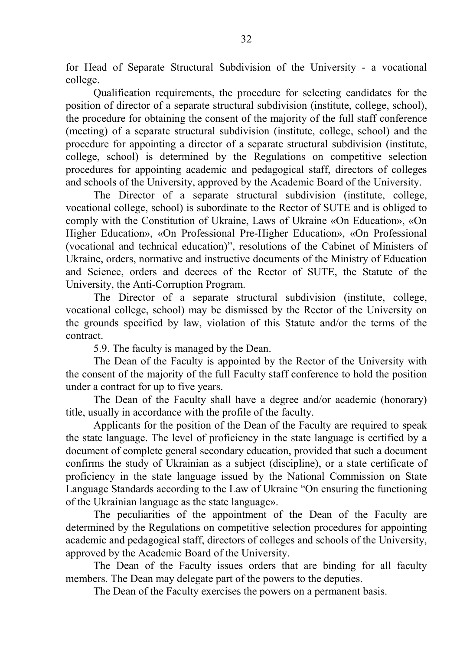for Head of Separate Structural Subdivision of the University - a vocational college.

Qualification requirements, the procedure for selecting candidates for the position of director of a separate structural subdivision (institute, college, school), the procedure for obtaining the consent of the majority of the full staff conference (meeting) of a separate structural subdivision (institute, college, school) and the procedure for appointing a director of a separate structural subdivision (institute, college, school) is determined by the Regulations on competitive selection procedures for appointing academic and pedagogical staff, directors of colleges and schools of the University, approved by the Academic Board of the University.

The Director of a separate structural subdivision (institute, college, vocational college, school) is subordinate to the Rector of SUTE and is obliged to comply with the Constitution of Ukraine, Laws of Ukraine «On Education», «On Higher Education», «On Professional Pre-Higher Education», «On Professional (vocational and technical education)", resolutions of the Cabinet of Ministers of Ukraine, orders, normative and instructive documents of the Ministry of Education and Science, orders and decrees of the Rector of SUTE, the Statute of the University, the Anti-Corruption Program.

The Director of a separate structural subdivision (institute, college, vocational college, school) may be dismissed by the Rector of the University on the grounds specified by law, violation of this Statute and/or the terms of the contract.

5.9. The faculty is managed by the Dean.

The Dean of the Faculty is appointed by the Rector of the University with the consent of the majority of the full Faculty staff conference to hold the position under a contract for up to five years.

The Dean of the Faculty shall have a degree and/or academic (honorary) title, usually in accordance with the profile of the faculty.

Applicants for the position of the Dean of the Faculty are required to speak the state language. The level of proficiency in the state language is certified by a document of complete general secondary education, provided that such a document confirms the study of Ukrainian as a subject (discipline), or a state certificate of proficiency in the state language issued by the National Commission on State Language Standards according to the Law of Ukraine "On ensuring the functioning of the Ukrainian language as the state language».

The peculiarities of the appointment of the Dean of the Faculty are determined by the Regulations on competitive selection procedures for appointing academic and pedagogical staff, directors of colleges and schools of the University, approved by the Academic Board of the University.

The Dean of the Faculty issues orders that are binding for all faculty members. The Dean may delegate part of the powers to the deputies.

The Dean of the Faculty exercises the powers on a permanent basis.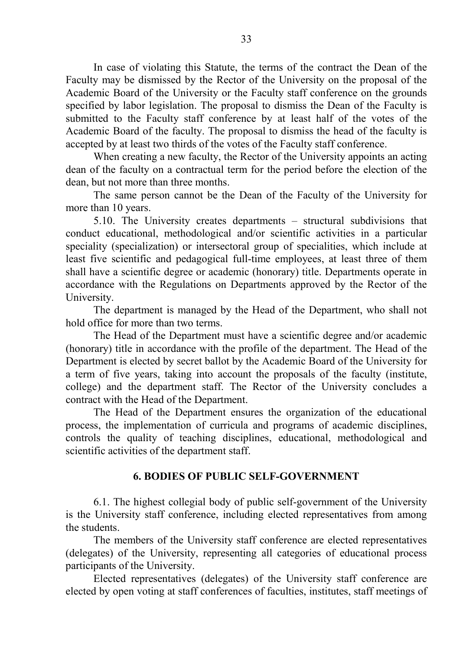In case of violating this Statute, the terms of the contract the Dean of the Faculty may be dismissed by the Rector of the University on the proposal of the Academic Board of the University or the Faculty staff conference on the grounds specified by labor legislation. The proposal to dismiss the Dean of the Faculty is submitted to the Faculty staff conference by at least half of the votes of the Academic Board of the faculty. The proposal to dismiss the head of the faculty is accepted by at least two thirds of the votes of the Faculty staff conference.

When creating a new faculty, the Rector of the University appoints an acting dean of the faculty on a contractual term for the period before the election of the dean, but not more than three months.

The same person cannot be the Dean of the Faculty of the University for more than 10 years.

5.10. The University creates departments – structural subdivisions that conduct educational, methodological and/or scientific activities in a particular speciality (specialization) or intersectoral group of specialities, which include at least five scientific and pedagogical full-time employees, at least three of them shall have a scientific degree or academic (honorary) title. Departments operate in accordance with the Regulations on Departments approved by the Rector of the University.

The department is managed by the Head of the Department, who shall not hold office for more than two terms.

The Head of the Department must have a scientific degree and/or academic (honorary) title in accordance with the profile of the department. The Head of the Department is elected by secret ballot by the Academic Board of the University for a term of five years, taking into account the proposals of the faculty (institute, college) and the department staff. The Rector of the University concludes a contract with the Head of the Department.

The Head of the Department ensures the organization of the educational process, the implementation of curricula and programs of academic disciplines, controls the quality of teaching disciplines, educational, methodological and scientific activities of the department staff.

#### **6. BODIES OF PUBLIC SELF-GOVERNMENT**

6.1. The highest collegial body of public self-government of the University is the University staff conference, including elected representatives from among the students.

The members of the University staff conference are elected representatives (delegates) of the University, representing all categories of educational process participants of the University.

Elected representatives (delegates) of the University staff conference are elected by open voting at staff conferences of faculties, institutes, staff meetings of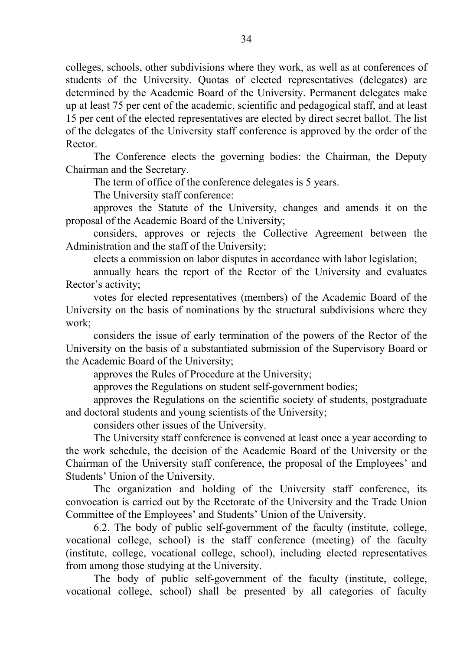colleges, schools, other subdivisions where they work, as well as at conferences of students of the University. Quotas of elected representatives (delegates) are determined by the Academic Board of the University. Permanent delegates make up at least 75 per cent of the academic, scientific and pedagogical staff, and at least 15 per cent of the elected representatives are elected by direct secret ballot. The list of the delegates of the University staff conference is approved by the order of the Rector.

The Conference elects the governing bodies: the Chairman, the Deputy Chairman and the Secretary.

The term of office of the conference delegates is 5 years.

The University staff conference:

approves the Statute of the University, changes and amends it on the proposal of the Academic Board of the University;

considers, approves or rejects the Collective Agreement between the Administration and the staff of the University;

elects a commission on labor disputes in accordance with labor legislation;

annually hears the report of the Rector of the University and evaluates Rector's activity;

votes for elected representatives (members) of the Academic Board of the University on the basis of nominations by the structural subdivisions where they work;

considers the issue of early termination of the powers of the Rector of the University on the basis of a substantiated submission of the Supervisory Board or the Academic Board of the University;

approves the Rules of Procedure at the University;

approves the Regulations on student self-government bodies;

approves the Regulations on the scientific society of students, postgraduate and doctoral students and young scientists of the University;

considers other issues of the University.

The University staff conference is convened at least once a year according to the work schedule, the decision of the Academic Board of the University or the Chairman of the University staff conference, the proposal of the Employees' and Students' Union of the University.

The organization and holding of the University staff conference, its convocation is carried out by the Rectorate of the University and the Trade Union Committee of the Employees' and Students' Union of the University.

6.2. The body of public self-government of the faculty (institute, college, vocational college, school) is the staff conference (meeting) of the faculty (institute, college, vocational college, school), including elected representatives from among those studying at the University.

The body of public self-government of the faculty (institute, college, vocational college, school) shall be presented by all categories of faculty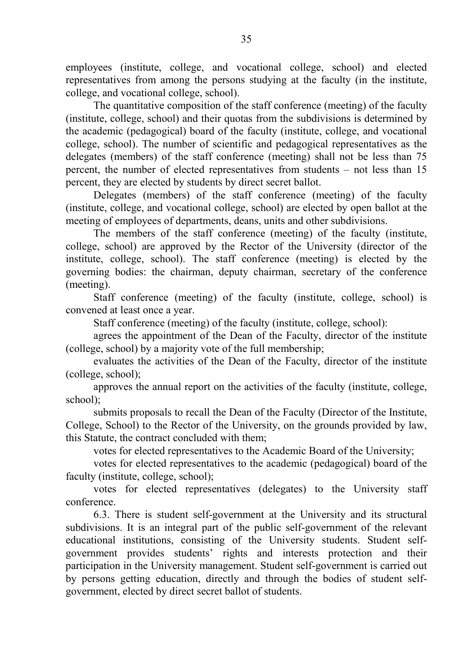employees (institute, college, and vocational college, school) and elected representatives from among the persons studying at the faculty (in the institute, college, and vocational college, school).

The quantitative composition of the staff conference (meeting) of the faculty (institute, college, school) and their quotas from the subdivisions is determined by the academic (pedagogical) board of the faculty (institute, college, and vocational college, school). The number of scientific and pedagogical representatives as the delegates (members) of the staff conference (meeting) shall not be less than 75 percent, the number of elected representatives from students – not less than 15 percent, they are elected by students by direct secret ballot.

Delegates (members) of the staff conference (meeting) of the faculty (institute, college, and vocational college, school) are elected by open ballot at the meeting of employees of departments, deans, units and other subdivisions.

The members of the staff conference (meeting) of the faculty (institute, college, school) are approved by the Rector of the University (director of the institute, college, school). The staff conference (meeting) is elected by the governing bodies: the chairman, deputy chairman, secretary of the conference (meeting).

Staff conference (meeting) of the faculty (institute, college, school) is convened at least once a year.

Staff conference (meeting) of the faculty (institute, college, school):

agrees the appointment of the Dean of the Faculty, director of the institute (college, school) by a majority vote of the full membership;

evaluates the activities of the Dean of the Faculty, director of the institute (college, school);

approves the annual report on the activities of the faculty (institute, college, school);

submits proposals to recall the Dean of the Faculty (Director of the Institute, College, School) to the Rector of the University, on the grounds provided by law, this Statute, the contract concluded with them;

votes for elected representatives to the Academic Board of the University;

votes for elected representatives to the academic (pedagogical) board of the faculty (institute, college, school);

votes for elected representatives (delegates) to the University staff conference.

6.3. There is student self-government at the University and its structural subdivisions. It is an integral part of the public self-government of the relevant educational institutions, consisting of the University students. Student selfgovernment provides students' rights and interests protection and their participation in the University management. Student self-government is carried out by persons getting education, directly and through the bodies of student selfgovernment, elected by direct secret ballot of students.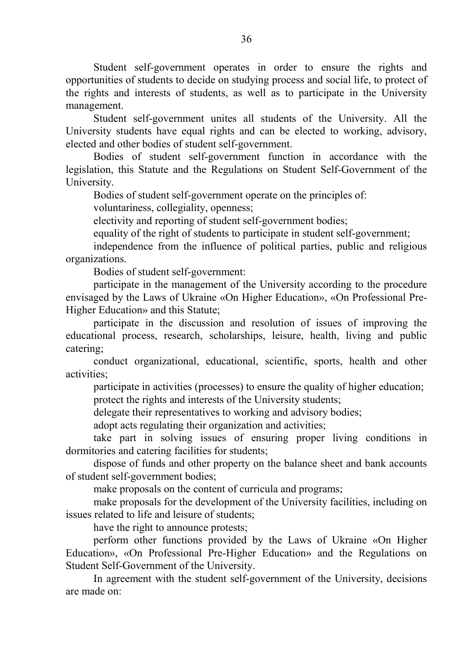Student self-government operates in order to ensure the rights and opportunities of students to decide on studying process and social life, to protect of the rights and interests of students, as well as to participate in the University management.

Student self-government unites all students of the University. All the University students have equal rights and can be elected to working, advisory, elected and other bodies of student self-government.

Bodies of student self-government function in accordance with the legislation, this Statute and the Regulations on Student Self-Government of the University.

Bodies of student self-government operate on the principles of:

voluntariness, collegiality, openness;

electivity and reporting of student self-government bodies;

equality of the right of students to participate in student self-government;

independence from the influence of political parties, public and religious organizations.

Bodies of student self-government:

participate in the management of the University according to the procedure envisaged by the Laws of Ukraine «On Higher Education», «On Professional Pre-Higher Education» and this Statute;

participate in the discussion and resolution of issues of improving the educational process, research, scholarships, leisure, health, living and public catering;

conduct organizational, educational, scientific, sports, health and other activities;

participate in activities (processes) to ensure the quality of higher education; protect the rights and interests of the University students;

delegate their representatives to working and advisory bodies;

adopt acts regulating their organization and activities;

take part in solving issues of ensuring proper living conditions in dormitories and catering facilities for students;

dispose of funds and other property on the balance sheet and bank accounts of student self-government bodies;

make proposals on the content of curricula and programs;

make proposals for the development of the University facilities, including on issues related to life and leisure of students;

have the right to announce protests:

perform other functions provided by the Laws of Ukraine «On Higher Education», «On Professional Pre-Higher Education» and the Regulations on Student Self-Government of the University.

In agreement with the student self-government of the University, decisions are made on: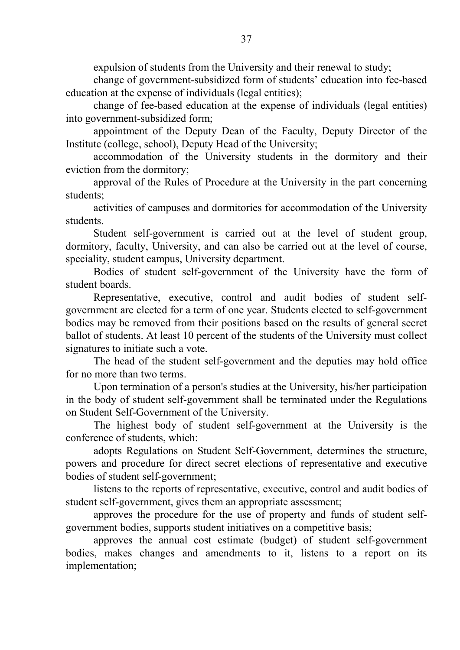expulsion of students from the University and their renewal to study;

change of government-subsidized form of students' education into fee-based education at the expense of individuals (legal entities);

change of fee-based education at the expense of individuals (legal entities) into government-subsidized form;

appointment of the Deputy Dean of the Faculty, Deputy Director of the Institute (college, school), Deputy Head of the University;

accommodation of the University students in the dormitory and their eviction from the dormitory;

approval of the Rules of Procedure at the University in the part concerning students;

activities of campuses and dormitories for accommodation of the University students.

Student self-government is carried out at the level of student group, dormitory, faculty, University, and can also be carried out at the level of course, speciality, student campus, University department.

Bodies of student self-government of the University have the form of student boards.

Representative, executive, control and audit bodies of student selfgovernment are elected for a term of one year. Students elected to self-government bodies may be removed from their positions based on the results of general secret ballot of students. At least 10 percent of the students of the University must collect signatures to initiate such a vote.

The head of the student self-government and the deputies may hold office for no more than two terms.

Upon termination of a person's studies at the University, his/her participation in the body of student self-government shall be terminated under the Regulations on Student Self-Government of the University.

The highest body of student self-government at the University is the conference of students, which:

adopts Regulations on Student Self-Government, determines the structure, powers and procedure for direct secret elections of representative and executive bodies of student self-government;

listens to the reports of representative, executive, control and audit bodies of student self-government, gives them an appropriate assessment;

approves the procedure for the use of property and funds of student selfgovernment bodies, supports student initiatives on a competitive basis;

approves the annual cost estimate (budget) of student self-government bodies, makes changes and amendments to it, listens to a report on its implementation;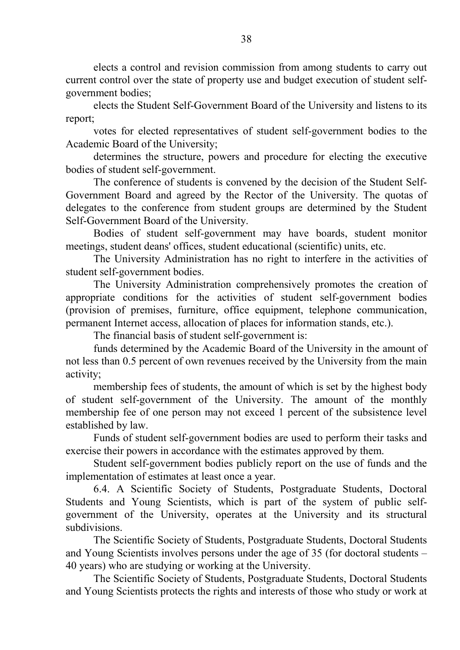elects a control and revision commission from among students to carry out current control over the state of property use and budget execution of student selfgovernment bodies;

elects the Student Self-Government Board of the University and listens to its report;

votes for elected representatives of student self-government bodies to the Academic Board of the University;

determines the structure, powers and procedure for electing the executive bodies of student self-government.

The conference of students is convened by the decision of the Student Self-Government Board and agreed by the Rector of the University. The quotas of delegates to the conference from student groups are determined by the Student Self-Government Board of the University.

Bodies of student self-government may have boards, student monitor meetings, student deans' offices, student educational (scientific) units, etc.

The University Administration has no right to interfere in the activities of student self-government bodies.

The University Administration comprehensively promotes the creation of appropriate conditions for the activities of student self-government bodies (provision of premises, furniture, office equipment, telephone communication, permanent Internet access, allocation of places for information stands, etc.).

The financial basis of student self-government is:

funds determined by the Academic Board of the University in the amount of not less than 0.5 percent of own revenues received by the University from the main activity;

membership fees of students, the amount of which is set by the highest body of student self-government of the University. The amount of the monthly membership fee of one person may not exceed 1 percent of the subsistence level established by law.

Funds of student self-government bodies are used to perform their tasks and exercise their powers in accordance with the estimates approved by them.

Student self-government bodies publicly report on the use of funds and the implementation of estimates at least once a year.

6.4. A Scientific Society of Students, Postgraduate Students, Doctoral Students and Young Scientists, which is part of the system of public selfgovernment of the University, operates at the University and its structural subdivisions.

The Scientific Society of Students, Postgraduate Students, Doctoral Students and Young Scientists involves persons under the age of 35 (for doctoral students – 40 years) who are studying or working at the University.

The Scientific Society of Students, Postgraduate Students, Doctoral Students and Young Scientists protects the rights and interests of those who study or work at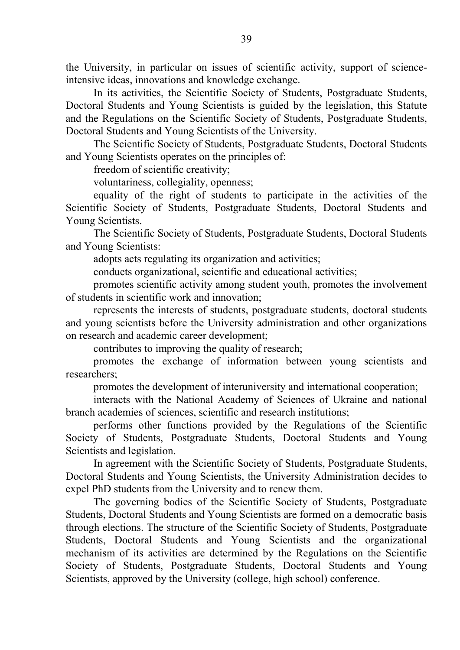the University, in particular on issues of scientific activity, support of scienceintensive ideas, innovations and knowledge exchange.

In its activities, the Scientific Society of Students, Postgraduate Students, Doctoral Students and Young Scientists is guided by the legislation, this Statute and the Regulations on the Scientific Society of Students, Postgraduate Students, Doctoral Students and Young Scientists of the University.

The Scientific Society of Students, Postgraduate Students, Doctoral Students and Young Scientists operates on the principles of:

freedom of scientific creativity;

voluntariness, collegiality, openness;

equality of the right of students to participate in the activities of the Scientific Society of Students, Postgraduate Students, Doctoral Students and Young Scientists.

The Scientific Society of Students, Postgraduate Students, Doctoral Students and Young Scientists:

adopts acts regulating its organization and activities;

conducts organizational, scientific and educational activities;

promotes scientific activity among student youth, promotes the involvement of students in scientific work and innovation;

represents the interests of students, postgraduate students, doctoral students and young scientists before the University administration and other organizations on research and academic career development;

contributes to improving the quality of research;

promotes the exchange of information between young scientists and researchers;

promotes the development of interuniversity and international cooperation;

interacts with the National Academy of Sciences of Ukraine and national branch academies of sciences, scientific and research institutions;

performs other functions provided by the Regulations of the Scientific Society of Students, Postgraduate Students, Doctoral Students and Young Scientists and legislation.

In agreement with the Scientific Society of Students, Postgraduate Students, Doctoral Students and Young Scientists, the University Administration decides to expel PhD students from the University and to renew them.

The governing bodies of the Scientific Society of Students, Postgraduate Students, Doctoral Students and Young Scientists are formed on a democratic basis through elections. The structure of the Scientific Society of Students, Postgraduate Students, Doctoral Students and Young Scientists and the organizational mechanism of its activities are determined by the Regulations on the Scientific Society of Students, Postgraduate Students, Doctoral Students and Young Scientists, approved by the University (college, high school) conference.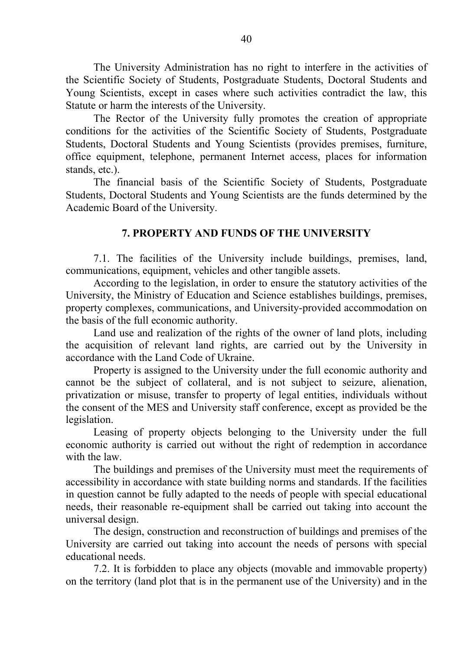The University Administration has no right to interfere in the activities of the Scientific Society of Students, Postgraduate Students, Doctoral Students and Young Scientists, except in cases where such activities contradict the law, this Statute or harm the interests of the University.

The Rector of the University fully promotes the creation of appropriate conditions for the activities of the Scientific Society of Students, Postgraduate Students, Doctoral Students and Young Scientists (provides premises, furniture, office equipment, telephone, permanent Internet access, places for information stands, etc.).

The financial basis of the Scientific Society of Students, Postgraduate Students, Doctoral Students and Young Scientists are the funds determined by the Academic Board of the University.

# **7. PROPERTY AND FUNDS OF THE UNIVERSITY**

7.1. The facilities of the University include buildings, premises, land, communications, equipment, vehicles and other tangible assets.

According to the legislation, in order to ensure the statutory activities of the University, the Ministry of Education and Science establishes buildings, premises, property complexes, communications, and University-provided accommodation on the basis of the full economic authority.

Land use and realization of the rights of the owner of land plots, including the acquisition of relevant land rights, are carried out by the University in accordance with the Land Code of Ukraine.

Property is assigned to the University under the full economic authority and cannot be the subject of collateral, and is not subject to seizure, alienation, privatization or misuse, transfer to property of legal entities, individuals without the consent of the MES and University staff conference, except as provided be the legislation.

Leasing of property objects belonging to the University under the full economic authority is carried out without the right of redemption in accordance with the law.

The buildings and premises of the University must meet the requirements of accessibility in accordance with state building norms and standards. If the facilities in question cannot be fully adapted to the needs of people with special educational needs, their reasonable re-equipment shall be carried out taking into account the universal design.

The design, construction and reconstruction of buildings and premises of the University are carried out taking into account the needs of persons with special educational needs.

7.2. It is forbidden to place any objects (movable and immovable property) on the territory (land plot that is in the permanent use of the University) and in the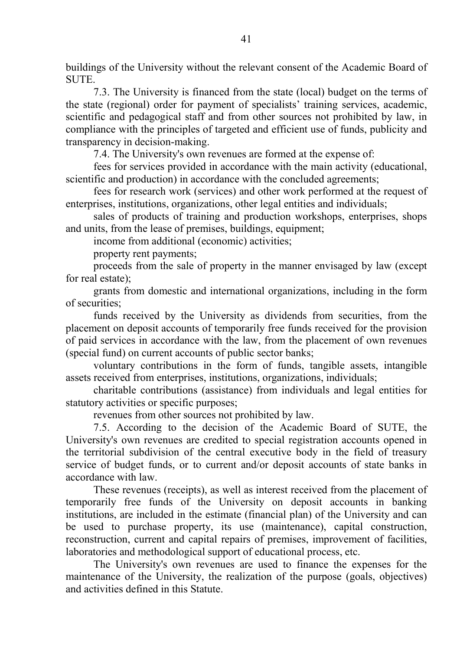buildings of the University without the relevant consent of the Academic Board of SUTE.

7.3. The University is financed from the state (local) budget on the terms of the state (regional) order for payment of specialists' training services, academic, scientific and pedagogical staff and from other sources not prohibited by law, in compliance with the principles of targeted and efficient use of funds, publicity and transparency in decision-making.

7.4. The University's own revenues are formed at the expense of:

fees for services provided in accordance with the main activity (educational, scientific and production) in accordance with the concluded agreements;

fees for research work (services) and other work performed at the request of enterprises, institutions, organizations, other legal entities and individuals;

sales of products of training and production workshops, enterprises, shops and units, from the lease of premises, buildings, equipment;

income from additional (economic) activities;

property rent payments;

proceeds from the sale of property in the manner envisaged by law (except for real estate);

grants from domestic and international organizations, including in the form of securities;

funds received by the University as dividends from securities, from the placement on deposit accounts of temporarily free funds received for the provision of paid services in accordance with the law, from the placement of own revenues (special fund) on current accounts of public sector banks;

voluntary contributions in the form of funds, tangible assets, intangible assets received from enterprises, institutions, organizations, individuals;

charitable contributions (assistance) from individuals and legal entities for statutory activities or specific purposes;

revenues from other sources not prohibited by law.

7.5. According to the decision of the Academic Board of SUTE, the University's own revenues are credited to special registration accounts opened in the territorial subdivision of the central executive body in the field of treasury service of budget funds, or to current and/or deposit accounts of state banks in accordance with law.

These revenues (receipts), as well as interest received from the placement of temporarily free funds of the University on deposit accounts in banking institutions, are included in the estimate (financial plan) of the University and can be used to purchase property, its use (maintenance), capital construction, reconstruction, current and capital repairs of premises, improvement of facilities, laboratories and methodological support of educational process, etc.

The University's own revenues are used to finance the expenses for the maintenance of the University, the realization of the purpose (goals, objectives) and activities defined in this Statute.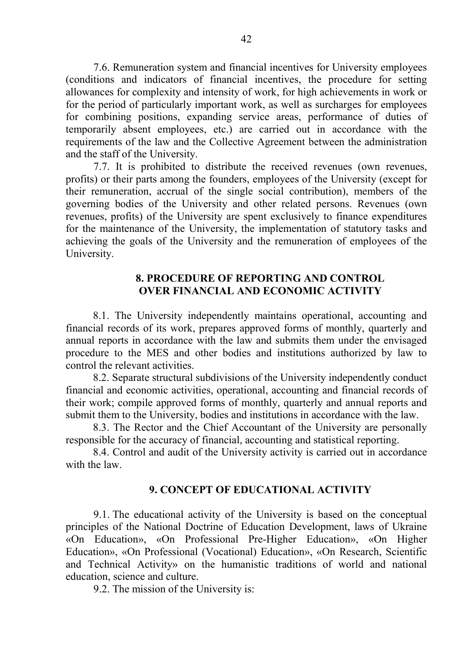7.6. Remuneration system and financial incentives for University employees (conditions and indicators of financial incentives, the procedure for setting allowances for complexity and intensity of work, for high achievements in work or for the period of particularly important work, as well as surcharges for employees for combining positions, expanding service areas, performance of duties of temporarily absent employees, etc.) are carried out in accordance with the requirements of the law and the Collective Agreement between the administration and the staff of the University.

7.7. It is prohibited to distribute the received revenues (own revenues, profits) or their parts among the founders, employees of the University (except for their remuneration, accrual of the single social contribution), members of the governing bodies of the University and other related persons. Revenues (own revenues, profits) of the University are spent exclusively to finance expenditures for the maintenance of the University, the implementation of statutory tasks and achieving the goals of the University and the remuneration of employees of the University.

#### **8. PROCEDURE OF REPORTING AND CONTROL OVER FINANCIAL AND ECONOMIC ACTIVITY**

8.1. The University independently maintains operational, accounting and financial records of its work, prepares approved forms of monthly, quarterly and annual reports in accordance with the law and submits them under the envisaged procedure to the MES and other bodies and institutions authorized by law to control the relevant activities.

8.2. Separate structural subdivisions of the University independently conduct financial and economic activities, operational, accounting and financial records of their work; compile approved forms of monthly, quarterly and annual reports and submit them to the University, bodies and institutions in accordance with the law.

8.3. The Rector and the Chief Accountant of the University are personally responsible for the accuracy of financial, accounting and statistical reporting.

8.4. Control and audit of the University activity is carried out in accordance with the law.

#### **9. CONCEPT OF EDUCATIONAL ACTIVITY**

9.1. The educational activity of the University is based on the conceptual principles of the National Doctrine of Education Development, laws of Ukraine «On Education», «On Professional Pre-Higher Education», «On Higher Education», «On Professional (Vocational) Education», «On Research, Scientific and Technical Activity» on the humanistic traditions of world and national education, science and culture.

9.2. The mission of the University is: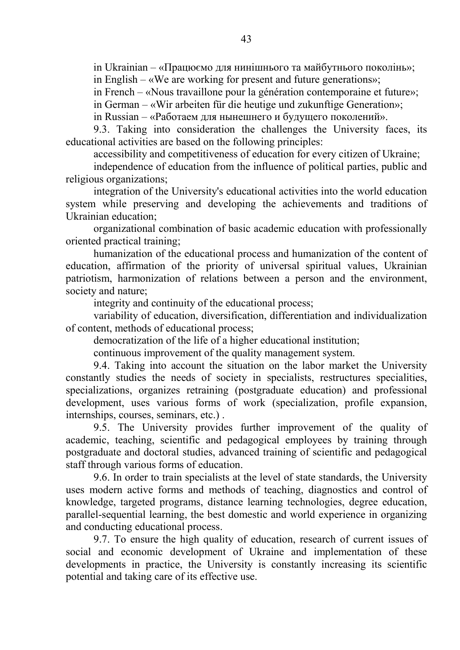in Ukrainian – «Працюємо для нинішнього та майбутнього поколінь»; in English – «We are working for present and future generations»;

in French – «Nous travaillone pour la génération contemporaine et future»;

in German – «Wir arbeiten für die heutige und zukunftige Generation»;

in Russian – «Работаем для нынешнего и будущего поколений».

9.3. Taking into consideration the challenges the University faces, its educational activities are based on the following principles:

accessibility and competitiveness of education for every citizen of Ukraine;

independence of education from the influence of political parties, public and religious organizations;

integration of the University's educational activities into the world education system while preserving and developing the achievements and traditions of Ukrainian education;

organizational combination of basic academic education with professionally oriented practical training;

humanization of the educational process and humanization of the content of education, affirmation of the priority of universal spiritual values, Ukrainian patriotism, harmonization of relations between a person and the environment, society and nature;

integrity and continuity of the educational process;

variability of education, diversification, differentiation and individualization of content, methods of educational process;

democratization of the life of a higher educational institution;

continuous improvement of the quality management system.

9.4. Taking into account the situation on the labor market the University constantly studies the needs of society in specialists, restructures specialities, specializations, organizes retraining (postgraduate education) and professional development, uses various forms of work (specialization, profile expansion, internships, courses, seminars, etc.) .

9.5. The University provides further improvement of the quality of academic, teaching, scientific and pedagogical employees by training through postgraduate and doctoral studies, advanced training of scientific and pedagogical staff through various forms of education.

9.6. In order to train specialists at the level of state standards, the University uses modern active forms and methods of teaching, diagnostics and control of knowledge, targeted programs, distance learning technologies, degree education, parallel-sequential learning, the best domestic and world experience in organizing and conducting educational process.

9.7. To ensure the high quality of education, research of current issues of social and economic development of Ukraine and implementation of these developments in practice, the University is constantly increasing its scientific potential and taking care of its effective use.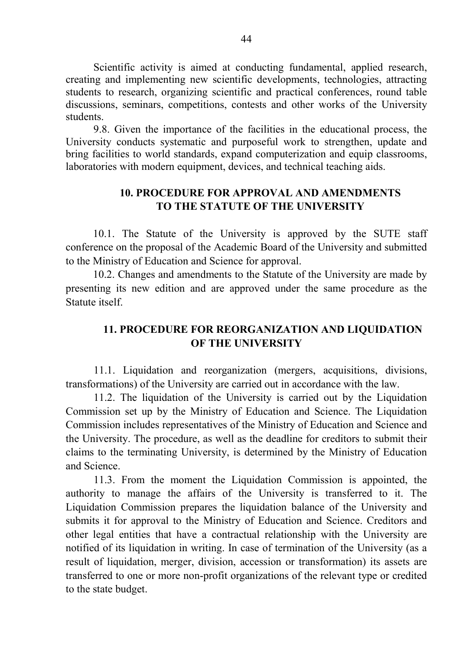Scientific activity is aimed at conducting fundamental, applied research, creating and implementing new scientific developments, technologies, attracting students to research, organizing scientific and practical conferences, round table discussions, seminars, competitions, contests and other works of the University students.

9.8. Given the importance of the facilities in the educational process, the University conducts systematic and purposeful work to strengthen, update and bring facilities to world standards, expand computerization and equip classrooms, laboratories with modern equipment, devices, and technical teaching aids.

# **10. PROCEDURE FOR APPROVAL AND AMENDMENTS TO THE STATUTE OF THE UNIVERSITY**

10.1. The Statute of the University is approved by the SUTE staff conference on the proposal of the Academic Board of the University and submitted to the Ministry of Education and Science for approval.

10.2. Changes and amendments to the Statute of the University are made by presenting its new edition and are approved under the same procedure as the Statute itself.

# **11. PROCEDURE FOR REORGANIZATION AND LIQUIDATION OF THE UNIVERSITY**

11.1. Liquidation and reorganization (mergers, acquisitions, divisions, transformations) of the University are carried out in accordance with the law.

11.2. The liquidation of the University is carried out by the Liquidation Commission set up by the Ministry of Education and Science. The Liquidation Commission includes representatives of the Ministry of Education and Science and the University. The procedure, as well as the deadline for creditors to submit their claims to the terminating University, is determined by the Ministry of Education and Science.

11.3. From the moment the Liquidation Commission is appointed, the authority to manage the affairs of the University is transferred to it. The Liquidation Commission prepares the liquidation balance of the University and submits it for approval to the Ministry of Education and Science. Creditors and other legal entities that have a contractual relationship with the University are notified of its liquidation in writing. In case of termination of the University (as a result of liquidation, merger, division, accession or transformation) its assets are transferred to one or more non-profit organizations of the relevant type or credited to the state budget.